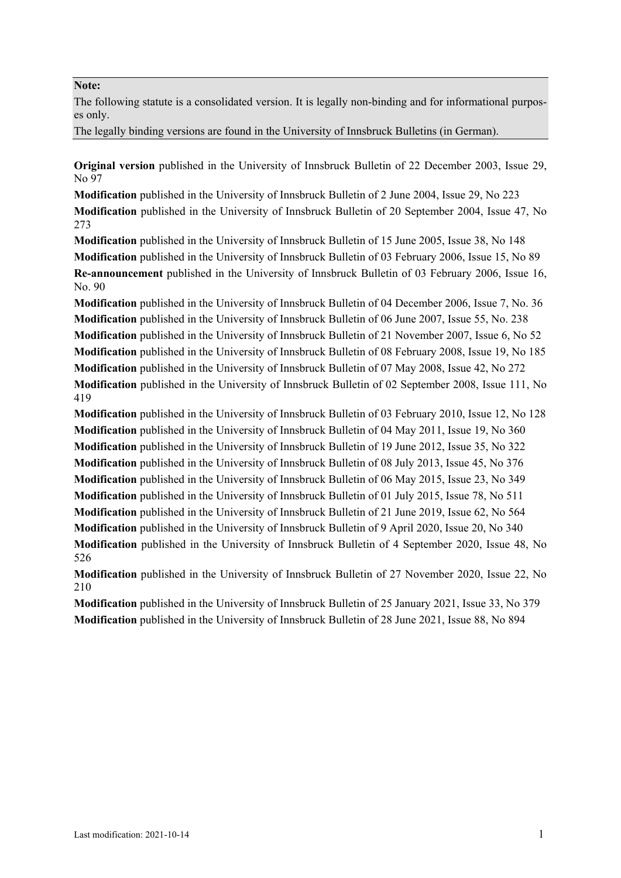### **Note:**

The following statute is a consolidated version. It is legally non-binding and for informational purposes only.

The legally binding versions are found in the University of Innsbruck Bulletins (in German).

**Original version** published in the University of Innsbruck Bulletin of 22 December 2003, Issue 29, No 97

**Modification** published in the University of Innsbruck Bulletin of 2 June 2004, Issue 29, No 223 **Modification** published in the University of Innsbruck Bulletin of 20 September 2004, Issue 47, No 273

**Modification** published in the University of Innsbruck Bulletin of 15 June 2005, Issue 38, No 148 **Modification** published in the University of Innsbruck Bulletin of 03 February 2006, Issue 15, No 89 **Re-announcement** published in the University of Innsbruck Bulletin of 03 February 2006, Issue 16, No. 90

**Modification** published in the University of Innsbruck Bulletin of 04 December 2006, Issue 7, No. 36 **Modification** published in the University of Innsbruck Bulletin of 06 June 2007, Issue 55, No. 238 **Modification** published in the University of Innsbruck Bulletin of 21 November 2007, Issue 6, No 52 **Modification** published in the University of Innsbruck Bulletin of 08 February 2008, Issue 19, No 185 **Modification** published in the University of Innsbruck Bulletin of 07 May 2008, Issue 42, No 272 **Modification** published in the University of Innsbruck Bulletin of 02 September 2008, Issue 111, No 419

**Modification** published in the University of Innsbruck Bulletin of 03 February 2010, Issue 12, No 128 **Modification** published in the University of Innsbruck Bulletin of 04 May 2011, Issue 19, No 360 **Modification** published in the University of Innsbruck Bulletin of 19 June 2012, Issue 35, No 322 **Modification** published in the University of Innsbruck Bulletin of 08 July 2013, Issue 45, No 376 **Modification** published in the University of Innsbruck Bulletin of 06 May 2015, Issue 23, No 349 **Modification** published in the University of Innsbruck Bulletin of 01 July 2015, Issue 78, No 511 **Modification** published in the University of Innsbruck Bulletin of 21 June 2019, Issue 62, No 564 **Modification** published in the University of Innsbruck Bulletin of 9 April 2020, Issue 20, No 340 **Modification** published in the University of Innsbruck Bulletin of 4 September 2020, Issue 48, No 526

**Modification** published in the University of Innsbruck Bulletin of 27 November 2020, Issue 22, No 210

**Modification** published in the University of Innsbruck Bulletin of 25 January 2021, Issue 33, No 379 **Modification** published in the University of Innsbruck Bulletin of 28 June 2021, Issue 88, No 894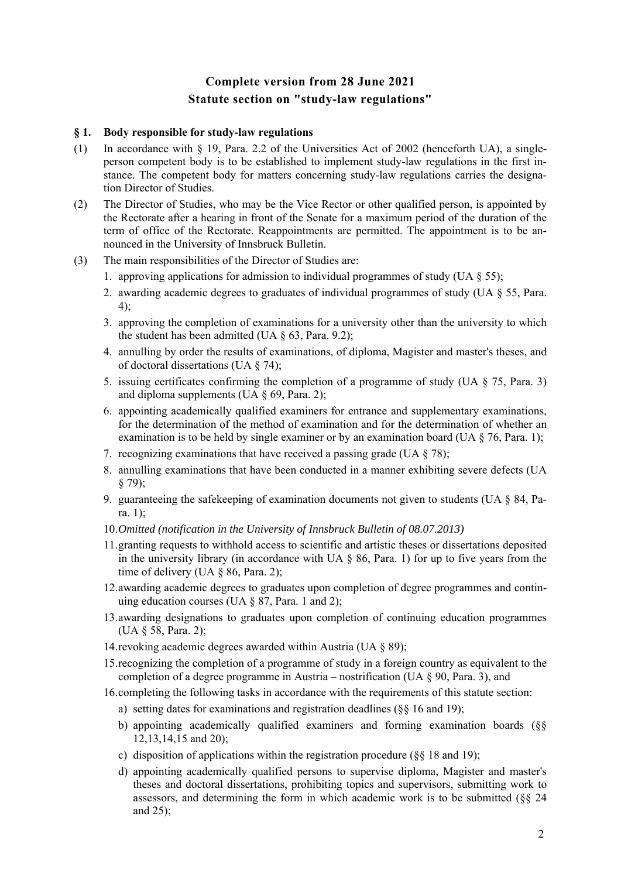# **Complete version from 28 June 2021 Statute section on "study-law regulations"**

### **§ 1. Body responsible for study-law regulations**

- (1) In accordance with § 19, Para. 2.2 of the Universities Act of 2002 (henceforth UA), a singleperson competent body is to be established to implement study-law regulations in the first instance. The competent body for matters concerning study-law regulations carries the designation Director of Studies.
- (2) The Director of Studies, who may be the Vice Rector or other qualified person, is appointed by the Rectorate after a hearing in front of the Senate for a maximum period of the duration of the term of office of the Rectorate. Reappointments are permitted. The appointment is to be announced in the University of Innsbruck Bulletin.
- (3) The main responsibilities of the Director of Studies are:
	- 1. approving applications for admission to individual programmes of study (UA  $\S$  55);
	- 2. awarding academic degrees to graduates of individual programmes of study (UA § 55, Para. 4);
	- 3. approving the completion of examinations for a university other than the university to which the student has been admitted (UA  $\S$  63, Para. 9.2);
	- 4. annulling by order the results of examinations, of diploma, Magister and master's theses, and of doctoral dissertations (UA § 74);
	- 5. issuing certificates confirming the completion of a programme of study (UA § 75, Para. 3) and diploma supplements (UA  $\S$  69, Para. 2);
	- 6. appointing academically qualified examiners for entrance and supplementary examinations, for the determination of the method of examination and for the determination of whether an examination is to be held by single examiner or by an examination board (UA § 76, Para. 1);
	- 7. recognizing examinations that have received a passing grade (UA § 78);
	- 8. annulling examinations that have been conducted in a manner exhibiting severe defects (UA § 79);
	- 9. guaranteeing the safekeeping of examination documents not given to students (UA  $\S$  84, Para. 1);
	- 10.*Omitted (notification in the University of Innsbruck Bulletin of 08.07.2013)*
	- 11.granting requests to withhold access to scientific and artistic theses or dissertations deposited in the university library (in accordance with UA  $\S$  86, Para. 1) for up to five years from the time of delivery (UA § 86, Para. 2);
	- 12.awarding academic degrees to graduates upon completion of degree programmes and continuing education courses (UA  $\S$  87, Para. 1 and 2);
	- 13.awarding designations to graduates upon completion of continuing education programmes (UA § 58, Para. 2);
	- 14.revoking academic degrees awarded within Austria (UA § 89);
	- 15.recognizing the completion of a programme of study in a foreign country as equivalent to the completion of a degree programme in Austria – nostrification (UA § 90, Para. 3), and
	- 16.completing the following tasks in accordance with the requirements of this statute section:
		- a) setting dates for examinations and registration deadlines (§§ 16 and 19);
		- b) appointing academically qualified examiners and forming examination boards (§§ 12,13,14,15 and 20);
		- c) disposition of applications within the registration procedure (§§ 18 and 19);
		- d) appointing academically qualified persons to supervise diploma, Magister and master's theses and doctoral dissertations, prohibiting topics and supervisors, submitting work to assessors, and determining the form in which academic work is to be submitted (§§ 24 and 25);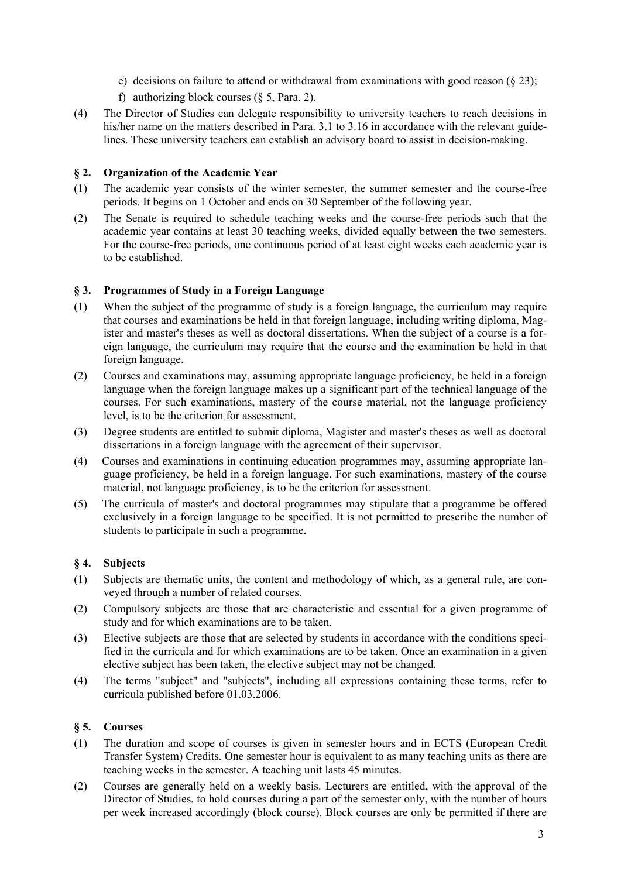- e) decisions on failure to attend or withdrawal from examinations with good reason (§ 23);
- f) authorizing block courses  $(\S 5, \text{Para. 2})$ .
- (4) The Director of Studies can delegate responsibility to university teachers to reach decisions in his/her name on the matters described in Para. 3.1 to 3.16 in accordance with the relevant guidelines. These university teachers can establish an advisory board to assist in decision-making.

## **§ 2. Organization of the Academic Year**

- (1) The academic year consists of the winter semester, the summer semester and the course-free periods. It begins on 1 October and ends on 30 September of the following year.
- (2) The Senate is required to schedule teaching weeks and the course-free periods such that the academic year contains at least 30 teaching weeks, divided equally between the two semesters. For the course-free periods, one continuous period of at least eight weeks each academic year is to be established.

### **§ 3. Programmes of Study in a Foreign Language**

- (1) When the subject of the programme of study is a foreign language, the curriculum may require that courses and examinations be held in that foreign language, including writing diploma, Magister and master's theses as well as doctoral dissertations. When the subject of a course is a foreign language, the curriculum may require that the course and the examination be held in that foreign language.
- (2) Courses and examinations may, assuming appropriate language proficiency, be held in a foreign language when the foreign language makes up a significant part of the technical language of the courses. For such examinations, mastery of the course material, not the language proficiency level, is to be the criterion for assessment.
- (3) Degree students are entitled to submit diploma, Magister and master's theses as well as doctoral dissertations in a foreign language with the agreement of their supervisor.
- (4) Courses and examinations in continuing education programmes may, assuming appropriate language proficiency, be held in a foreign language. For such examinations, mastery of the course material, not language proficiency, is to be the criterion for assessment.
- (5) The curricula of master's and doctoral programmes may stipulate that a programme be offered exclusively in a foreign language to be specified. It is not permitted to prescribe the number of students to participate in such a programme.

# **§ 4. Subjects**

- (1) Subjects are thematic units, the content and methodology of which, as a general rule, are conveyed through a number of related courses.
- (2) Compulsory subjects are those that are characteristic and essential for a given programme of study and for which examinations are to be taken.
- (3) Elective subjects are those that are selected by students in accordance with the conditions specified in the curricula and for which examinations are to be taken. Once an examination in a given elective subject has been taken, the elective subject may not be changed.
- (4) The terms "subject" and "subjects", including all expressions containing these terms, refer to curricula published before 01.03.2006.

### **§ 5. Courses**

- (1) The duration and scope of courses is given in semester hours and in ECTS (European Credit Transfer System) Credits. One semester hour is equivalent to as many teaching units as there are teaching weeks in the semester. A teaching unit lasts 45 minutes.
- (2) Courses are generally held on a weekly basis. Lecturers are entitled, with the approval of the Director of Studies, to hold courses during a part of the semester only, with the number of hours per week increased accordingly (block course). Block courses are only be permitted if there are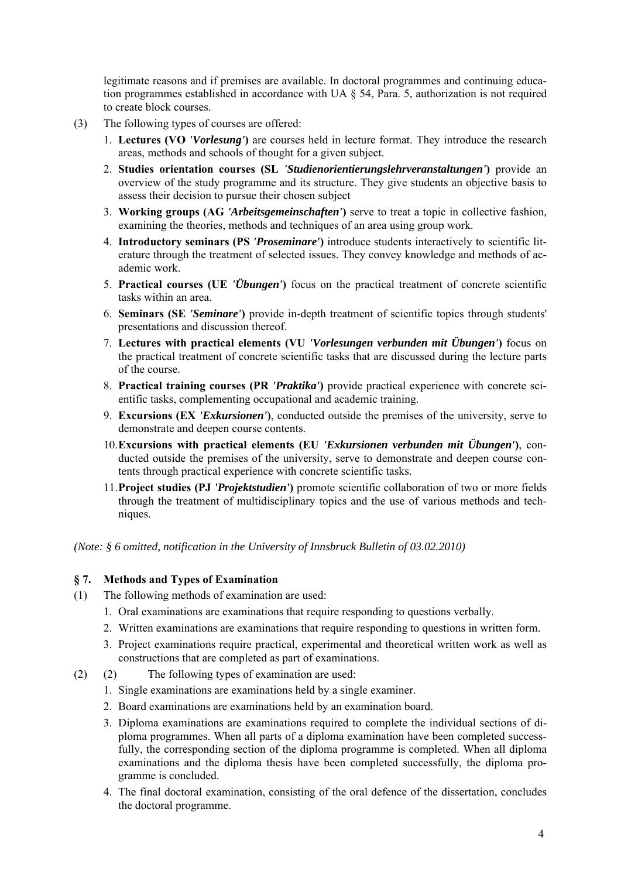legitimate reasons and if premises are available. In doctoral programmes and continuing education programmes established in accordance with UA § 54, Para. 5, authorization is not required to create block courses.

- (3) The following types of courses are offered:
	- 1. **Lectures (VO** *'Vorlesung'***)** are courses held in lecture format. They introduce the research areas, methods and schools of thought for a given subject.
	- 2. **Studies orientation courses (SL** *'Studienorientierungslehrveranstaltungen'***)** provide an overview of the study programme and its structure. They give students an objective basis to assess their decision to pursue their chosen subject
	- 3. **Working groups (AG** *'Arbeitsgemeinschaften'***)** serve to treat a topic in collective fashion, examining the theories, methods and techniques of an area using group work.
	- 4. **Introductory seminars (PS** *'Proseminare'***)** introduce students interactively to scientific literature through the treatment of selected issues. They convey knowledge and methods of academic work.
	- 5. **Practical courses (UE** *'Übungen'***)** focus on the practical treatment of concrete scientific tasks within an area.
	- 6. **Seminars (SE** *'Seminare'***)** provide in-depth treatment of scientific topics through students' presentations and discussion thereof.
	- 7. **Lectures with practical elements (VU** *'Vorlesungen verbunden mit Übungen'***)** focus on the practical treatment of concrete scientific tasks that are discussed during the lecture parts of the course.
	- 8. **Practical training courses (PR** *'Praktika'***)** provide practical experience with concrete scientific tasks, complementing occupational and academic training.
	- 9. **Excursions (EX** *'Exkursionen'***)**, conducted outside the premises of the university, serve to demonstrate and deepen course contents.
	- 10.**Excursions with practical elements (EU** *'Exkursionen verbunden mit Übungen'***)**, conducted outside the premises of the university, serve to demonstrate and deepen course contents through practical experience with concrete scientific tasks.
	- 11.**Project studies (PJ** *'Projektstudien'***)** promote scientific collaboration of two or more fields through the treatment of multidisciplinary topics and the use of various methods and techniques.

*(Note: § 6 omitted, notification in the University of Innsbruck Bulletin of 03.02.2010)* 

# **§ 7. Methods and Types of Examination**

- (1) The following methods of examination are used:
	- 1. Oral examinations are examinations that require responding to questions verbally.
	- 2. Written examinations are examinations that require responding to questions in written form.
	- 3. Project examinations require practical, experimental and theoretical written work as well as constructions that are completed as part of examinations.
- (2) (2) The following types of examination are used:
	- 1. Single examinations are examinations held by a single examiner.
	- 2. Board examinations are examinations held by an examination board.
	- 3. Diploma examinations are examinations required to complete the individual sections of diploma programmes. When all parts of a diploma examination have been completed successfully, the corresponding section of the diploma programme is completed. When all diploma examinations and the diploma thesis have been completed successfully, the diploma programme is concluded.
	- 4. The final doctoral examination, consisting of the oral defence of the dissertation, concludes the doctoral programme.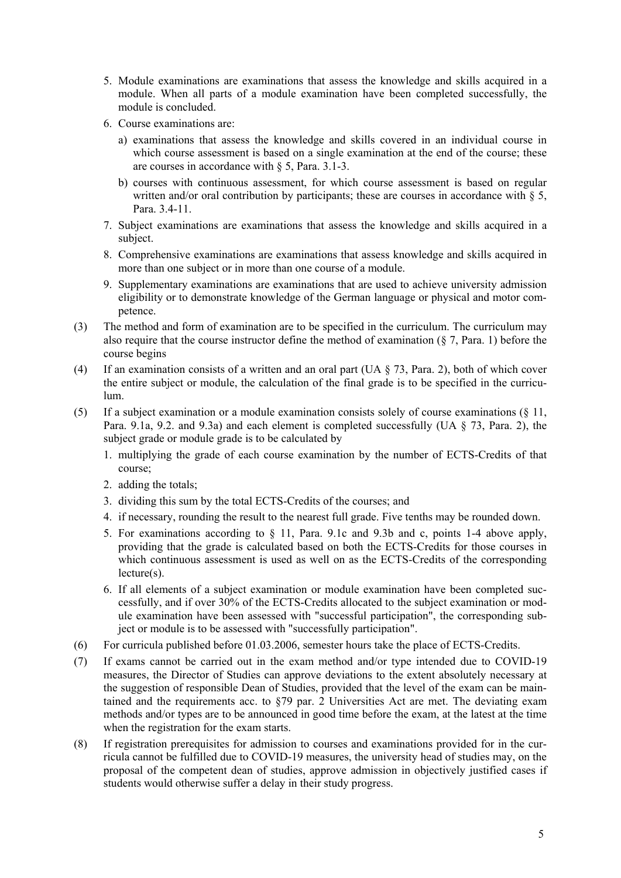- 5. Module examinations are examinations that assess the knowledge and skills acquired in a module. When all parts of a module examination have been completed successfully, the module is concluded.
- 6. Course examinations are:
	- a) examinations that assess the knowledge and skills covered in an individual course in which course assessment is based on a single examination at the end of the course; these are courses in accordance with § 5, Para. 3.1-3.
	- b) courses with continuous assessment, for which course assessment is based on regular written and/or oral contribution by participants; these are courses in accordance with  $\S$  5, Para. 3.4-11.
- 7. Subject examinations are examinations that assess the knowledge and skills acquired in a subject.
- 8. Comprehensive examinations are examinations that assess knowledge and skills acquired in more than one subject or in more than one course of a module.
- 9. Supplementary examinations are examinations that are used to achieve university admission eligibility or to demonstrate knowledge of the German language or physical and motor competence.
- (3) The method and form of examination are to be specified in the curriculum. The curriculum may also require that the course instructor define the method of examination (§ 7, Para. 1) before the course begins
- (4) If an examination consists of a written and an oral part (UA  $\S$  73, Para. 2), both of which cover the entire subject or module, the calculation of the final grade is to be specified in the curriculum.
- (5) If a subject examination or a module examination consists solely of course examinations (§ 11, Para. 9.1a, 9.2. and 9.3a) and each element is completed successfully (UA § 73, Para. 2), the subject grade or module grade is to be calculated by
	- 1. multiplying the grade of each course examination by the number of ECTS-Credits of that course;
	- 2. adding the totals;
	- 3. dividing this sum by the total ECTS-Credits of the courses; and
	- 4. if necessary, rounding the result to the nearest full grade. Five tenths may be rounded down.
	- 5. For examinations according to § 11, Para. 9.1c and 9.3b and c, points 1-4 above apply, providing that the grade is calculated based on both the ECTS-Credits for those courses in which continuous assessment is used as well on as the ECTS-Credits of the corresponding lecture(s).
	- 6. If all elements of a subject examination or module examination have been completed successfully, and if over 30% of the ECTS-Credits allocated to the subject examination or module examination have been assessed with "successful participation", the corresponding subject or module is to be assessed with "successfully participation".
- (6) For curricula published before 01.03.2006, semester hours take the place of ECTS-Credits.
- (7) If exams cannot be carried out in the exam method and/or type intended due to COVID-19 measures, the Director of Studies can approve deviations to the extent absolutely necessary at the suggestion of responsible Dean of Studies, provided that the level of the exam can be maintained and the requirements acc. to  $\S$ 79 par. 2 Universities Act are met. The deviating exam methods and/or types are to be announced in good time before the exam, at the latest at the time when the registration for the exam starts.
- (8) If registration prerequisites for admission to courses and examinations provided for in the curricula cannot be fulfilled due to COVID-19 measures, the university head of studies may, on the proposal of the competent dean of studies, approve admission in objectively justified cases if students would otherwise suffer a delay in their study progress.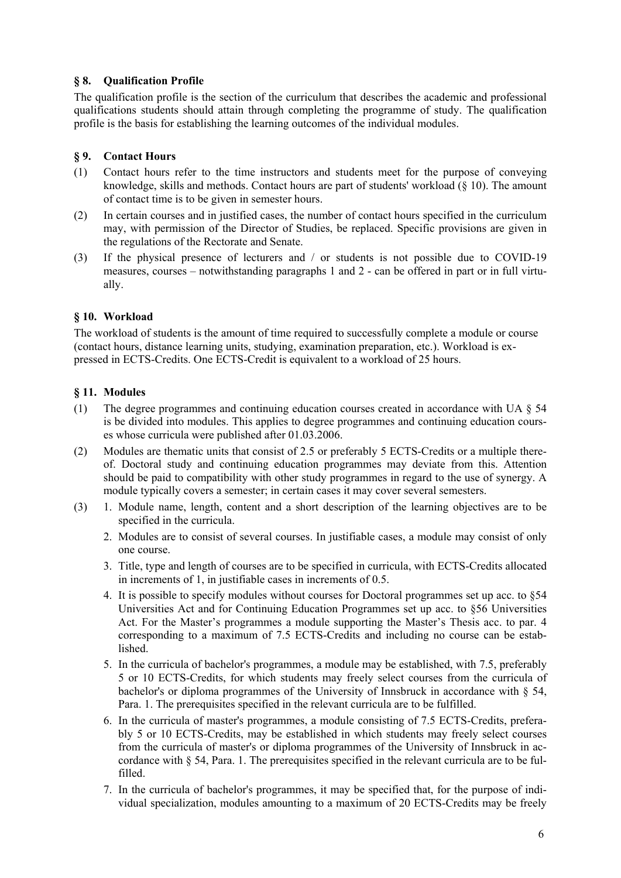# **§ 8. Qualification Profile**

The qualification profile is the section of the curriculum that describes the academic and professional qualifications students should attain through completing the programme of study. The qualification profile is the basis for establishing the learning outcomes of the individual modules.

# **§ 9. Contact Hours**

- (1) Contact hours refer to the time instructors and students meet for the purpose of conveying knowledge, skills and methods. Contact hours are part of students' workload  $(§ 10)$ . The amount of contact time is to be given in semester hours.
- (2) In certain courses and in justified cases, the number of contact hours specified in the curriculum may, with permission of the Director of Studies, be replaced. Specific provisions are given in the regulations of the Rectorate and Senate.
- (3) If the physical presence of lecturers and / or students is not possible due to COVID-19 measures, courses – notwithstanding paragraphs 1 and 2 - can be offered in part or in full virtually.

# **§ 10. Workload**

The workload of students is the amount of time required to successfully complete a module or course (contact hours, distance learning units, studying, examination preparation, etc.). Workload is expressed in ECTS-Credits. One ECTS-Credit is equivalent to a workload of 25 hours.

# **§ 11. Modules**

- (1) The degree programmes and continuing education courses created in accordance with UA § 54 is be divided into modules. This applies to degree programmes and continuing education courses whose curricula were published after 01.03.2006.
- (2) Modules are thematic units that consist of 2.5 or preferably 5 ECTS-Credits or a multiple thereof. Doctoral study and continuing education programmes may deviate from this. Attention should be paid to compatibility with other study programmes in regard to the use of synergy. A module typically covers a semester; in certain cases it may cover several semesters.
- (3) 1. Module name, length, content and a short description of the learning objectives are to be specified in the curricula.
	- 2. Modules are to consist of several courses. In justifiable cases, a module may consist of only one course.
	- 3. Title, type and length of courses are to be specified in curricula, with ECTS-Credits allocated in increments of 1, in justifiable cases in increments of 0.5.
	- 4. It is possible to specify modules without courses for Doctoral programmes set up acc. to §54 Universities Act and for Continuing Education Programmes set up acc. to §56 Universities Act. For the Master's programmes a module supporting the Master's Thesis acc. to par. 4 corresponding to a maximum of 7.5 ECTS-Credits and including no course can be established.
	- 5. In the curricula of bachelor's programmes, a module may be established, with 7.5, preferably 5 or 10 ECTS-Credits, for which students may freely select courses from the curricula of bachelor's or diploma programmes of the University of Innsbruck in accordance with § 54, Para. 1. The prerequisites specified in the relevant curricula are to be fulfilled.
	- 6. In the curricula of master's programmes, a module consisting of 7.5 ECTS-Credits, preferably 5 or 10 ECTS-Credits, may be established in which students may freely select courses from the curricula of master's or diploma programmes of the University of Innsbruck in accordance with § 54, Para. 1. The prerequisites specified in the relevant curricula are to be fulfilled.
	- 7. In the curricula of bachelor's programmes, it may be specified that, for the purpose of individual specialization, modules amounting to a maximum of 20 ECTS-Credits may be freely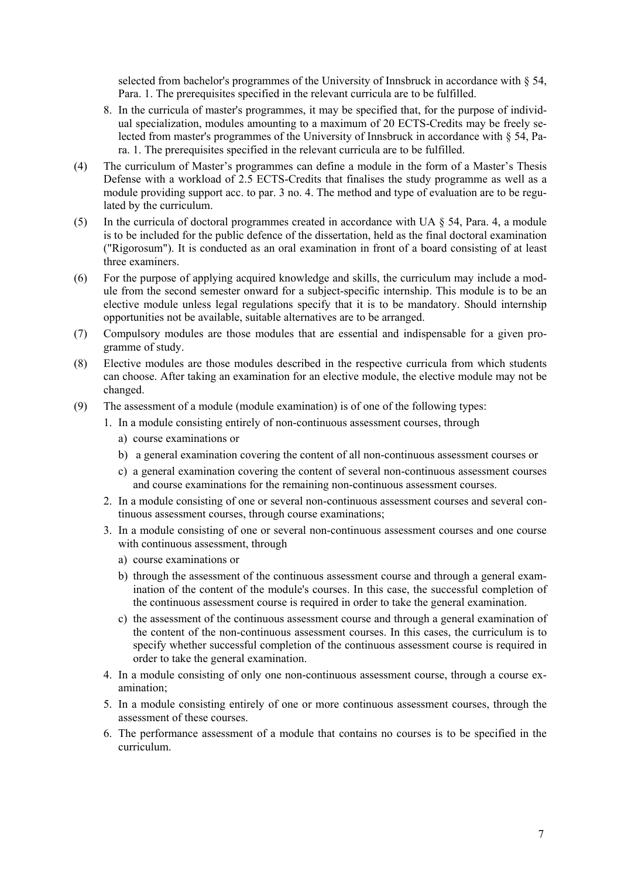selected from bachelor's programmes of the University of Innsbruck in accordance with § 54, Para. 1. The prerequisites specified in the relevant curricula are to be fulfilled.

- 8. In the curricula of master's programmes, it may be specified that, for the purpose of individual specialization, modules amounting to a maximum of 20 ECTS-Credits may be freely selected from master's programmes of the University of Innsbruck in accordance with § 54, Para. 1. The prerequisites specified in the relevant curricula are to be fulfilled.
- (4) The curriculum of Master's programmes can define a module in the form of a Master's Thesis Defense with a workload of 2.5 ECTS-Credits that finalises the study programme as well as a module providing support acc. to par. 3 no. 4. The method and type of evaluation are to be regulated by the curriculum.
- (5) In the curricula of doctoral programmes created in accordance with UA § 54, Para. 4, a module is to be included for the public defence of the dissertation, held as the final doctoral examination ("Rigorosum"). It is conducted as an oral examination in front of a board consisting of at least three examiners.
- (6) For the purpose of applying acquired knowledge and skills, the curriculum may include a module from the second semester onward for a subject-specific internship. This module is to be an elective module unless legal regulations specify that it is to be mandatory. Should internship opportunities not be available, suitable alternatives are to be arranged.
- (7) Compulsory modules are those modules that are essential and indispensable for a given programme of study.
- (8) Elective modules are those modules described in the respective curricula from which students can choose. After taking an examination for an elective module, the elective module may not be changed.
- (9) The assessment of a module (module examination) is of one of the following types:
	- 1. In a module consisting entirely of non-continuous assessment courses, through
		- a) course examinations or
		- b) a general examination covering the content of all non-continuous assessment courses or
		- c) a general examination covering the content of several non-continuous assessment courses and course examinations for the remaining non-continuous assessment courses.
	- 2. In a module consisting of one or several non-continuous assessment courses and several continuous assessment courses, through course examinations;
	- 3. In a module consisting of one or several non-continuous assessment courses and one course with continuous assessment, through
		- a) course examinations or
		- b) through the assessment of the continuous assessment course and through a general examination of the content of the module's courses. In this case, the successful completion of the continuous assessment course is required in order to take the general examination.
		- c) the assessment of the continuous assessment course and through a general examination of the content of the non-continuous assessment courses. In this cases, the curriculum is to specify whether successful completion of the continuous assessment course is required in order to take the general examination.
	- 4. In a module consisting of only one non-continuous assessment course, through a course examination;
	- 5. In a module consisting entirely of one or more continuous assessment courses, through the assessment of these courses.
	- 6. The performance assessment of a module that contains no courses is to be specified in the curriculum.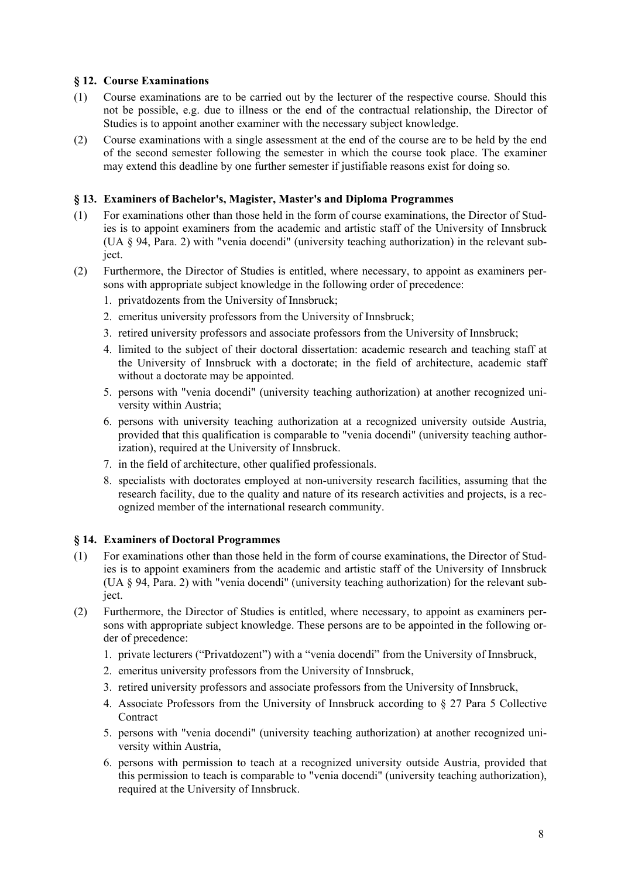# **§ 12. Course Examinations**

- (1) Course examinations are to be carried out by the lecturer of the respective course. Should this not be possible, e.g. due to illness or the end of the contractual relationship, the Director of Studies is to appoint another examiner with the necessary subject knowledge.
- (2) Course examinations with a single assessment at the end of the course are to be held by the end of the second semester following the semester in which the course took place. The examiner may extend this deadline by one further semester if justifiable reasons exist for doing so.

### **§ 13. Examiners of Bachelor's, Magister, Master's and Diploma Programmes**

- (1) For examinations other than those held in the form of course examinations, the Director of Studies is to appoint examiners from the academic and artistic staff of the University of Innsbruck (UA § 94, Para. 2) with "venia docendi" (university teaching authorization) in the relevant subject.
- (2) Furthermore, the Director of Studies is entitled, where necessary, to appoint as examiners persons with appropriate subject knowledge in the following order of precedence:
	- 1. privatdozents from the University of Innsbruck;
	- 2. emeritus university professors from the University of Innsbruck;
	- 3. retired university professors and associate professors from the University of Innsbruck;
	- 4. limited to the subject of their doctoral dissertation: academic research and teaching staff at the University of Innsbruck with a doctorate; in the field of architecture, academic staff without a doctorate may be appointed.
	- 5. persons with "venia docendi" (university teaching authorization) at another recognized university within Austria;
	- 6. persons with university teaching authorization at a recognized university outside Austria, provided that this qualification is comparable to "venia docendi" (university teaching authorization), required at the University of Innsbruck.
	- 7. in the field of architecture, other qualified professionals.
	- 8. specialists with doctorates employed at non-university research facilities, assuming that the research facility, due to the quality and nature of its research activities and projects, is a recognized member of the international research community.

### **§ 14. Examiners of Doctoral Programmes**

- (1) For examinations other than those held in the form of course examinations, the Director of Studies is to appoint examiners from the academic and artistic staff of the University of Innsbruck (UA § 94, Para. 2) with "venia docendi" (university teaching authorization) for the relevant subject.
- (2) Furthermore, the Director of Studies is entitled, where necessary, to appoint as examiners persons with appropriate subject knowledge. These persons are to be appointed in the following order of precedence:
	- 1. private lecturers ("Privatdozent") with a "venia docendi" from the University of Innsbruck,
	- 2. emeritus university professors from the University of Innsbruck,
	- 3. retired university professors and associate professors from the University of Innsbruck,
	- 4. Associate Professors from the University of Innsbruck according to § 27 Para 5 Collective Contract
	- 5. persons with "venia docendi" (university teaching authorization) at another recognized university within Austria,
	- 6. persons with permission to teach at a recognized university outside Austria, provided that this permission to teach is comparable to "venia docendi" (university teaching authorization), required at the University of Innsbruck.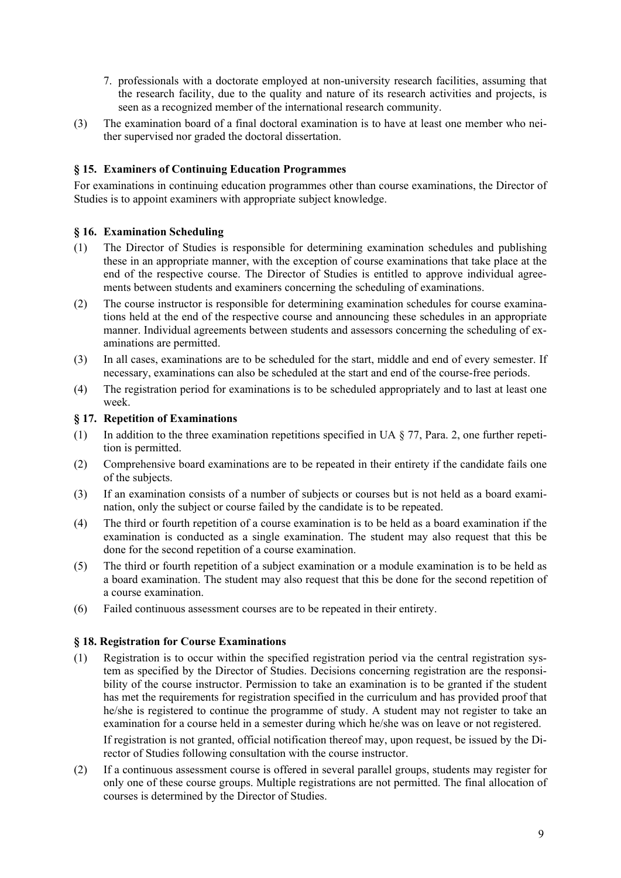- 7. professionals with a doctorate employed at non-university research facilities, assuming that the research facility, due to the quality and nature of its research activities and projects, is seen as a recognized member of the international research community.
- (3) The examination board of a final doctoral examination is to have at least one member who neither supervised nor graded the doctoral dissertation.

## **§ 15. Examiners of Continuing Education Programmes**

For examinations in continuing education programmes other than course examinations, the Director of Studies is to appoint examiners with appropriate subject knowledge.

### **§ 16. Examination Scheduling**

- (1) The Director of Studies is responsible for determining examination schedules and publishing these in an appropriate manner, with the exception of course examinations that take place at the end of the respective course. The Director of Studies is entitled to approve individual agreements between students and examiners concerning the scheduling of examinations.
- (2) The course instructor is responsible for determining examination schedules for course examinations held at the end of the respective course and announcing these schedules in an appropriate manner. Individual agreements between students and assessors concerning the scheduling of examinations are permitted.
- (3) In all cases, examinations are to be scheduled for the start, middle and end of every semester. If necessary, examinations can also be scheduled at the start and end of the course-free periods.
- (4) The registration period for examinations is to be scheduled appropriately and to last at least one week.

### **§ 17. Repetition of Examinations**

- (1) In addition to the three examination repetitions specified in UA  $\S$  77, Para. 2, one further repetition is permitted.
- (2) Comprehensive board examinations are to be repeated in their entirety if the candidate fails one of the subjects.
- (3) If an examination consists of a number of subjects or courses but is not held as a board examination, only the subject or course failed by the candidate is to be repeated.
- (4) The third or fourth repetition of a course examination is to be held as a board examination if the examination is conducted as a single examination. The student may also request that this be done for the second repetition of a course examination.
- (5) The third or fourth repetition of a subject examination or a module examination is to be held as a board examination. The student may also request that this be done for the second repetition of a course examination.
- (6) Failed continuous assessment courses are to be repeated in their entirety.

### **§ 18. Registration for Course Examinations**

(1) Registration is to occur within the specified registration period via the central registration system as specified by the Director of Studies. Decisions concerning registration are the responsibility of the course instructor. Permission to take an examination is to be granted if the student has met the requirements for registration specified in the curriculum and has provided proof that he/she is registered to continue the programme of study. A student may not register to take an examination for a course held in a semester during which he/she was on leave or not registered.

If registration is not granted, official notification thereof may, upon request, be issued by the Director of Studies following consultation with the course instructor.

(2) If a continuous assessment course is offered in several parallel groups, students may register for only one of these course groups. Multiple registrations are not permitted. The final allocation of courses is determined by the Director of Studies.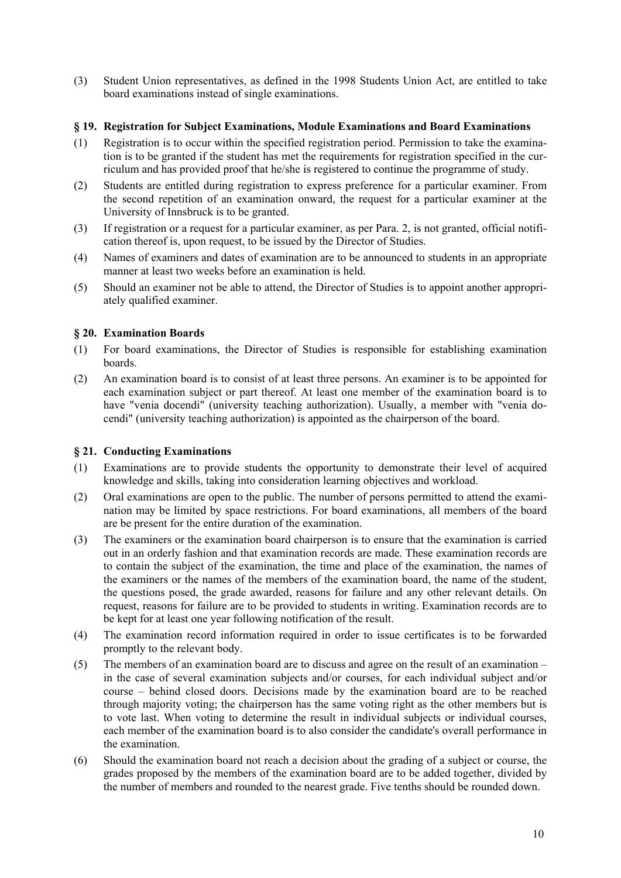(3) Student Union representatives, as defined in the 1998 Students Union Act, are entitled to take board examinations instead of single examinations.

## **§ 19. Registration for Subject Examinations, Module Examinations and Board Examinations**

- (1) Registration is to occur within the specified registration period. Permission to take the examination is to be granted if the student has met the requirements for registration specified in the curriculum and has provided proof that he/she is registered to continue the programme of study.
- (2) Students are entitled during registration to express preference for a particular examiner. From the second repetition of an examination onward, the request for a particular examiner at the University of Innsbruck is to be granted.
- (3) If registration or a request for a particular examiner, as per Para. 2, is not granted, official notification thereof is, upon request, to be issued by the Director of Studies.
- (4) Names of examiners and dates of examination are to be announced to students in an appropriate manner at least two weeks before an examination is held.
- (5) Should an examiner not be able to attend, the Director of Studies is to appoint another appropriately qualified examiner.

### **§ 20. Examination Boards**

- (1) For board examinations, the Director of Studies is responsible for establishing examination boards.
- (2) An examination board is to consist of at least three persons. An examiner is to be appointed for each examination subject or part thereof. At least one member of the examination board is to have "venia docendi" (university teaching authorization). Usually, a member with "venia docendi" (university teaching authorization) is appointed as the chairperson of the board.

### **§ 21. Conducting Examinations**

- (1) Examinations are to provide students the opportunity to demonstrate their level of acquired knowledge and skills, taking into consideration learning objectives and workload.
- (2) Oral examinations are open to the public. The number of persons permitted to attend the examination may be limited by space restrictions. For board examinations, all members of the board are be present for the entire duration of the examination.
- (3) The examiners or the examination board chairperson is to ensure that the examination is carried out in an orderly fashion and that examination records are made. These examination records are to contain the subject of the examination, the time and place of the examination, the names of the examiners or the names of the members of the examination board, the name of the student, the questions posed, the grade awarded, reasons for failure and any other relevant details. On request, reasons for failure are to be provided to students in writing. Examination records are to be kept for at least one year following notification of the result.
- (4) The examination record information required in order to issue certificates is to be forwarded promptly to the relevant body.
- (5) The members of an examination board are to discuss and agree on the result of an examination in the case of several examination subjects and/or courses, for each individual subject and/or course – behind closed doors. Decisions made by the examination board are to be reached through majority voting; the chairperson has the same voting right as the other members but is to vote last. When voting to determine the result in individual subjects or individual courses, each member of the examination board is to also consider the candidate's overall performance in the examination.
- (6) Should the examination board not reach a decision about the grading of a subject or course, the grades proposed by the members of the examination board are to be added together, divided by the number of members and rounded to the nearest grade. Five tenths should be rounded down.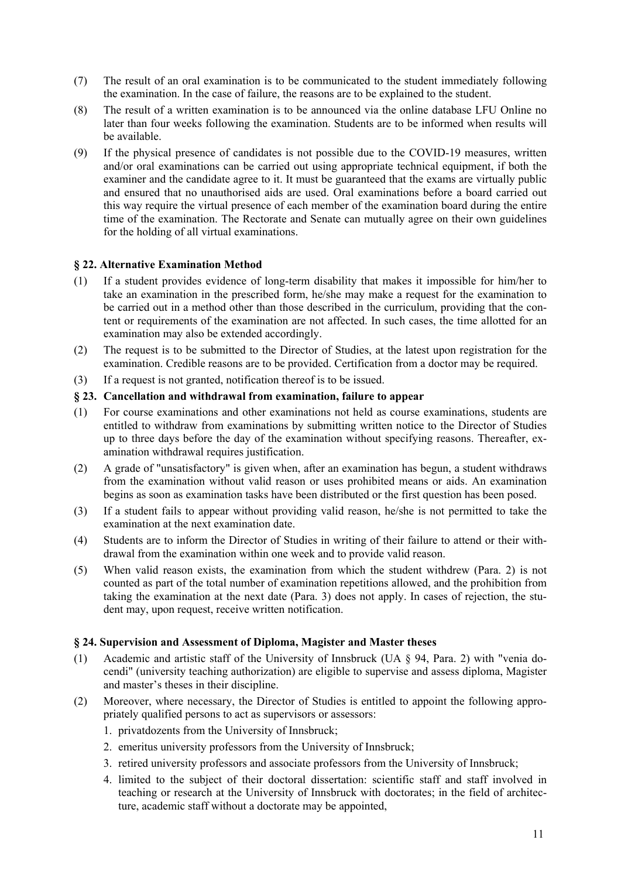- (7) The result of an oral examination is to be communicated to the student immediately following the examination. In the case of failure, the reasons are to be explained to the student.
- (8) The result of a written examination is to be announced via the online database LFU Online no later than four weeks following the examination. Students are to be informed when results will be available.
- (9) If the physical presence of candidates is not possible due to the COVID-19 measures, written and/or oral examinations can be carried out using appropriate technical equipment, if both the examiner and the candidate agree to it. It must be guaranteed that the exams are virtually public and ensured that no unauthorised aids are used. Oral examinations before a board carried out this way require the virtual presence of each member of the examination board during the entire time of the examination. The Rectorate and Senate can mutually agree on their own guidelines for the holding of all virtual examinations.

### **§ 22. Alternative Examination Method**

- (1) If a student provides evidence of long-term disability that makes it impossible for him/her to take an examination in the prescribed form, he/she may make a request for the examination to be carried out in a method other than those described in the curriculum, providing that the content or requirements of the examination are not affected. In such cases, the time allotted for an examination may also be extended accordingly.
- (2) The request is to be submitted to the Director of Studies, at the latest upon registration for the examination. Credible reasons are to be provided. Certification from a doctor may be required.
- (3) If a request is not granted, notification thereof is to be issued.

### **§ 23. Cancellation and withdrawal from examination, failure to appear**

- (1) For course examinations and other examinations not held as course examinations, students are entitled to withdraw from examinations by submitting written notice to the Director of Studies up to three days before the day of the examination without specifying reasons. Thereafter, examination withdrawal requires justification.
- (2) A grade of "unsatisfactory" is given when, after an examination has begun, a student withdraws from the examination without valid reason or uses prohibited means or aids. An examination begins as soon as examination tasks have been distributed or the first question has been posed.
- (3) If a student fails to appear without providing valid reason, he/she is not permitted to take the examination at the next examination date.
- (4) Students are to inform the Director of Studies in writing of their failure to attend or their withdrawal from the examination within one week and to provide valid reason.
- (5) When valid reason exists, the examination from which the student withdrew (Para. 2) is not counted as part of the total number of examination repetitions allowed, and the prohibition from taking the examination at the next date (Para. 3) does not apply. In cases of rejection, the student may, upon request, receive written notification.

### **§ 24. Supervision and Assessment of Diploma, Magister and Master theses**

- (1) Academic and artistic staff of the University of Innsbruck (UA § 94, Para. 2) with "venia docendi" (university teaching authorization) are eligible to supervise and assess diploma, Magister and master's theses in their discipline.
- (2) Moreover, where necessary, the Director of Studies is entitled to appoint the following appropriately qualified persons to act as supervisors or assessors:
	- 1. privatdozents from the University of Innsbruck;
	- 2. emeritus university professors from the University of Innsbruck;
	- 3. retired university professors and associate professors from the University of Innsbruck;
	- 4. limited to the subject of their doctoral dissertation: scientific staff and staff involved in teaching or research at the University of Innsbruck with doctorates; in the field of architecture, academic staff without a doctorate may be appointed,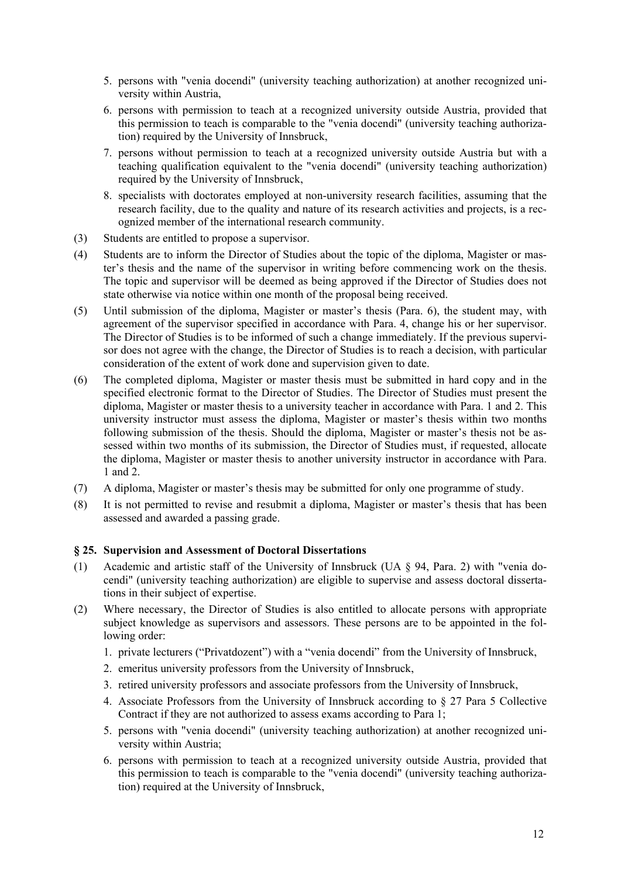- 5. persons with "venia docendi" (university teaching authorization) at another recognized university within Austria,
- 6. persons with permission to teach at a recognized university outside Austria, provided that this permission to teach is comparable to the "venia docendi" (university teaching authorization) required by the University of Innsbruck,
- 7. persons without permission to teach at a recognized university outside Austria but with a teaching qualification equivalent to the "venia docendi" (university teaching authorization) required by the University of Innsbruck,
- 8. specialists with doctorates employed at non-university research facilities, assuming that the research facility, due to the quality and nature of its research activities and projects, is a recognized member of the international research community.
- (3) Students are entitled to propose a supervisor.
- (4) Students are to inform the Director of Studies about the topic of the diploma, Magister or master's thesis and the name of the supervisor in writing before commencing work on the thesis. The topic and supervisor will be deemed as being approved if the Director of Studies does not state otherwise via notice within one month of the proposal being received.
- (5) Until submission of the diploma, Magister or master's thesis (Para. 6), the student may, with agreement of the supervisor specified in accordance with Para. 4, change his or her supervisor. The Director of Studies is to be informed of such a change immediately. If the previous supervisor does not agree with the change, the Director of Studies is to reach a decision, with particular consideration of the extent of work done and supervision given to date.
- (6) The completed diploma, Magister or master thesis must be submitted in hard copy and in the specified electronic format to the Director of Studies. The Director of Studies must present the diploma, Magister or master thesis to a university teacher in accordance with Para. 1 and 2. This university instructor must assess the diploma, Magister or master's thesis within two months following submission of the thesis. Should the diploma, Magister or master's thesis not be assessed within two months of its submission, the Director of Studies must, if requested, allocate the diploma, Magister or master thesis to another university instructor in accordance with Para. 1 and 2.
- (7) A diploma, Magister or master's thesis may be submitted for only one programme of study.
- (8) It is not permitted to revise and resubmit a diploma, Magister or master's thesis that has been assessed and awarded a passing grade.

### **§ 25. Supervision and Assessment of Doctoral Dissertations**

- (1) Academic and artistic staff of the University of Innsbruck (UA § 94, Para. 2) with "venia docendi" (university teaching authorization) are eligible to supervise and assess doctoral dissertations in their subject of expertise.
- (2) Where necessary, the Director of Studies is also entitled to allocate persons with appropriate subject knowledge as supervisors and assessors. These persons are to be appointed in the following order:
	- 1. private lecturers ("Privatdozent") with a "venia docendi" from the University of Innsbruck,
	- 2. emeritus university professors from the University of Innsbruck,
	- 3. retired university professors and associate professors from the University of Innsbruck,
	- 4. Associate Professors from the University of Innsbruck according to § 27 Para 5 Collective Contract if they are not authorized to assess exams according to Para 1;
	- 5. persons with "venia docendi" (university teaching authorization) at another recognized university within Austria;
	- 6. persons with permission to teach at a recognized university outside Austria, provided that this permission to teach is comparable to the "venia docendi" (university teaching authorization) required at the University of Innsbruck,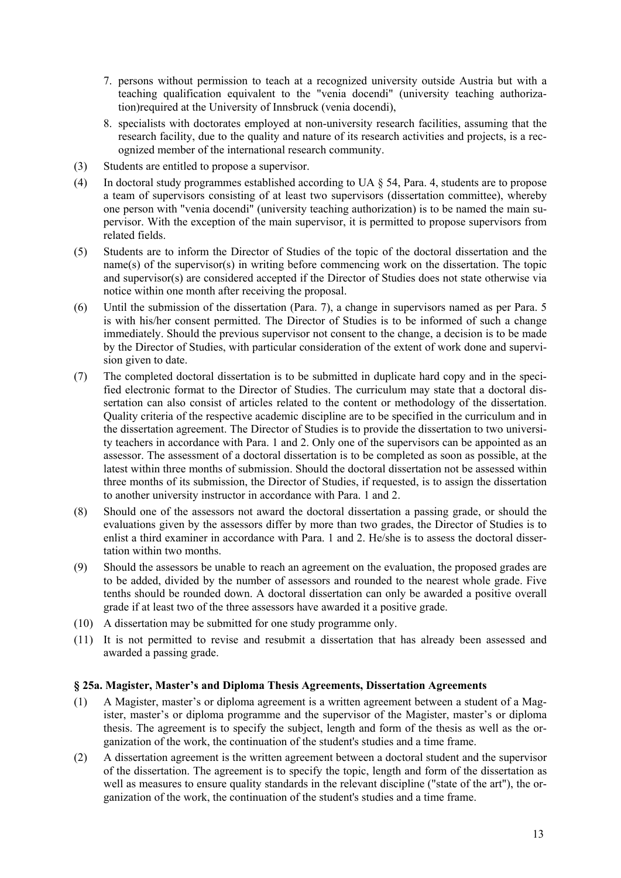- 7. persons without permission to teach at a recognized university outside Austria but with a teaching qualification equivalent to the "venia docendi" (university teaching authorization)required at the University of Innsbruck (venia docendi),
- 8. specialists with doctorates employed at non-university research facilities, assuming that the research facility, due to the quality and nature of its research activities and projects, is a recognized member of the international research community.
- (3) Students are entitled to propose a supervisor.
- (4) In doctoral study programmes established according to UA § 54, Para. 4, students are to propose a team of supervisors consisting of at least two supervisors (dissertation committee), whereby one person with "venia docendi" (university teaching authorization) is to be named the main supervisor. With the exception of the main supervisor, it is permitted to propose supervisors from related fields.
- (5) Students are to inform the Director of Studies of the topic of the doctoral dissertation and the name(s) of the supervisor(s) in writing before commencing work on the dissertation. The topic and supervisor(s) are considered accepted if the Director of Studies does not state otherwise via notice within one month after receiving the proposal.
- (6) Until the submission of the dissertation (Para. 7), a change in supervisors named as per Para. 5 is with his/her consent permitted. The Director of Studies is to be informed of such a change immediately. Should the previous supervisor not consent to the change, a decision is to be made by the Director of Studies, with particular consideration of the extent of work done and supervision given to date.
- (7) The completed doctoral dissertation is to be submitted in duplicate hard copy and in the specified electronic format to the Director of Studies. The curriculum may state that a doctoral dissertation can also consist of articles related to the content or methodology of the dissertation. Quality criteria of the respective academic discipline are to be specified in the curriculum and in the dissertation agreement. The Director of Studies is to provide the dissertation to two university teachers in accordance with Para. 1 and 2. Only one of the supervisors can be appointed as an assessor. The assessment of a doctoral dissertation is to be completed as soon as possible, at the latest within three months of submission. Should the doctoral dissertation not be assessed within three months of its submission, the Director of Studies, if requested, is to assign the dissertation to another university instructor in accordance with Para. 1 and 2.
- (8) Should one of the assessors not award the doctoral dissertation a passing grade, or should the evaluations given by the assessors differ by more than two grades, the Director of Studies is to enlist a third examiner in accordance with Para. 1 and 2. He/she is to assess the doctoral dissertation within two months.
- (9) Should the assessors be unable to reach an agreement on the evaluation, the proposed grades are to be added, divided by the number of assessors and rounded to the nearest whole grade. Five tenths should be rounded down. A doctoral dissertation can only be awarded a positive overall grade if at least two of the three assessors have awarded it a positive grade.
- (10) A dissertation may be submitted for one study programme only.
- (11) It is not permitted to revise and resubmit a dissertation that has already been assessed and awarded a passing grade.

# **§ 25a. Magister, Master's and Diploma Thesis Agreements, Dissertation Agreements**

- (1) A Magister, master's or diploma agreement is a written agreement between a student of a Magister, master's or diploma programme and the supervisor of the Magister, master's or diploma thesis. The agreement is to specify the subject, length and form of the thesis as well as the organization of the work, the continuation of the student's studies and a time frame.
- (2) A dissertation agreement is the written agreement between a doctoral student and the supervisor of the dissertation. The agreement is to specify the topic, length and form of the dissertation as well as measures to ensure quality standards in the relevant discipline ("state of the art"), the organization of the work, the continuation of the student's studies and a time frame.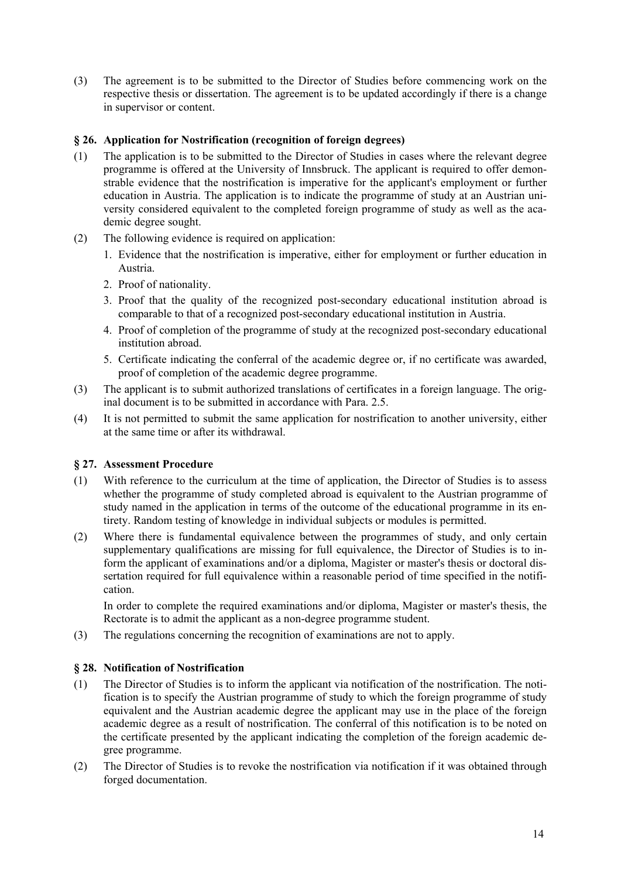(3) The agreement is to be submitted to the Director of Studies before commencing work on the respective thesis or dissertation. The agreement is to be updated accordingly if there is a change in supervisor or content.

# **§ 26. Application for Nostrification (recognition of foreign degrees)**

- (1) The application is to be submitted to the Director of Studies in cases where the relevant degree programme is offered at the University of Innsbruck. The applicant is required to offer demonstrable evidence that the nostrification is imperative for the applicant's employment or further education in Austria. The application is to indicate the programme of study at an Austrian university considered equivalent to the completed foreign programme of study as well as the academic degree sought.
- (2) The following evidence is required on application:
	- 1. Evidence that the nostrification is imperative, either for employment or further education in Austria.
	- 2. Proof of nationality.
	- 3. Proof that the quality of the recognized post-secondary educational institution abroad is comparable to that of a recognized post-secondary educational institution in Austria.
	- 4. Proof of completion of the programme of study at the recognized post-secondary educational institution abroad.
	- 5. Certificate indicating the conferral of the academic degree or, if no certificate was awarded, proof of completion of the academic degree programme.
- (3) The applicant is to submit authorized translations of certificates in a foreign language. The original document is to be submitted in accordance with Para. 2.5.
- (4) It is not permitted to submit the same application for nostrification to another university, either at the same time or after its withdrawal.

### **§ 27. Assessment Procedure**

- (1) With reference to the curriculum at the time of application, the Director of Studies is to assess whether the programme of study completed abroad is equivalent to the Austrian programme of study named in the application in terms of the outcome of the educational programme in its entirety. Random testing of knowledge in individual subjects or modules is permitted.
- (2) Where there is fundamental equivalence between the programmes of study, and only certain supplementary qualifications are missing for full equivalence, the Director of Studies is to inform the applicant of examinations and/or a diploma, Magister or master's thesis or doctoral dissertation required for full equivalence within a reasonable period of time specified in the notification.

In order to complete the required examinations and/or diploma, Magister or master's thesis, the Rectorate is to admit the applicant as a non-degree programme student.

(3) The regulations concerning the recognition of examinations are not to apply.

### **§ 28. Notification of Nostrification**

- (1) The Director of Studies is to inform the applicant via notification of the nostrification. The notification is to specify the Austrian programme of study to which the foreign programme of study equivalent and the Austrian academic degree the applicant may use in the place of the foreign academic degree as a result of nostrification. The conferral of this notification is to be noted on the certificate presented by the applicant indicating the completion of the foreign academic degree programme.
- (2) The Director of Studies is to revoke the nostrification via notification if it was obtained through forged documentation.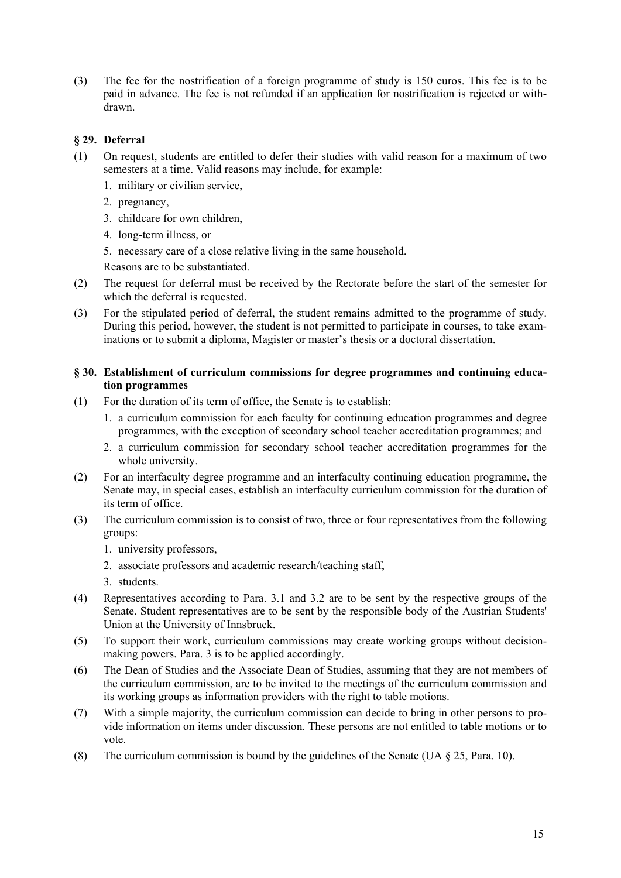(3) The fee for the nostrification of a foreign programme of study is 150 euros. This fee is to be paid in advance. The fee is not refunded if an application for nostrification is rejected or withdrawn.

# **§ 29. Deferral**

- (1) On request, students are entitled to defer their studies with valid reason for a maximum of two semesters at a time. Valid reasons may include, for example:
	- 1. military or civilian service,
	- 2. pregnancy,
	- 3. childcare for own children,
	- 4. long-term illness, or
	- 5. necessary care of a close relative living in the same household.

Reasons are to be substantiated.

- (2) The request for deferral must be received by the Rectorate before the start of the semester for which the deferral is requested.
- (3) For the stipulated period of deferral, the student remains admitted to the programme of study. During this period, however, the student is not permitted to participate in courses, to take examinations or to submit a diploma, Magister or master's thesis or a doctoral dissertation.

### **§ 30. Establishment of curriculum commissions for degree programmes and continuing education programmes**

- (1) For the duration of its term of office, the Senate is to establish:
	- 1. a curriculum commission for each faculty for continuing education programmes and degree programmes, with the exception of secondary school teacher accreditation programmes; and
	- 2. a curriculum commission for secondary school teacher accreditation programmes for the whole university.
- (2) For an interfaculty degree programme and an interfaculty continuing education programme, the Senate may, in special cases, establish an interfaculty curriculum commission for the duration of its term of office.
- (3) The curriculum commission is to consist of two, three or four representatives from the following groups:
	- 1. university professors,
	- 2. associate professors and academic research/teaching staff,
	- 3. students.
- (4) Representatives according to Para. 3.1 and 3.2 are to be sent by the respective groups of the Senate. Student representatives are to be sent by the responsible body of the Austrian Students' Union at the University of Innsbruck.
- (5) To support their work, curriculum commissions may create working groups without decisionmaking powers. Para. 3 is to be applied accordingly.
- (6) The Dean of Studies and the Associate Dean of Studies, assuming that they are not members of the curriculum commission, are to be invited to the meetings of the curriculum commission and its working groups as information providers with the right to table motions.
- (7) With a simple majority, the curriculum commission can decide to bring in other persons to provide information on items under discussion. These persons are not entitled to table motions or to vote.
- (8) The curriculum commission is bound by the guidelines of the Senate (UA  $\S$  25, Para. 10).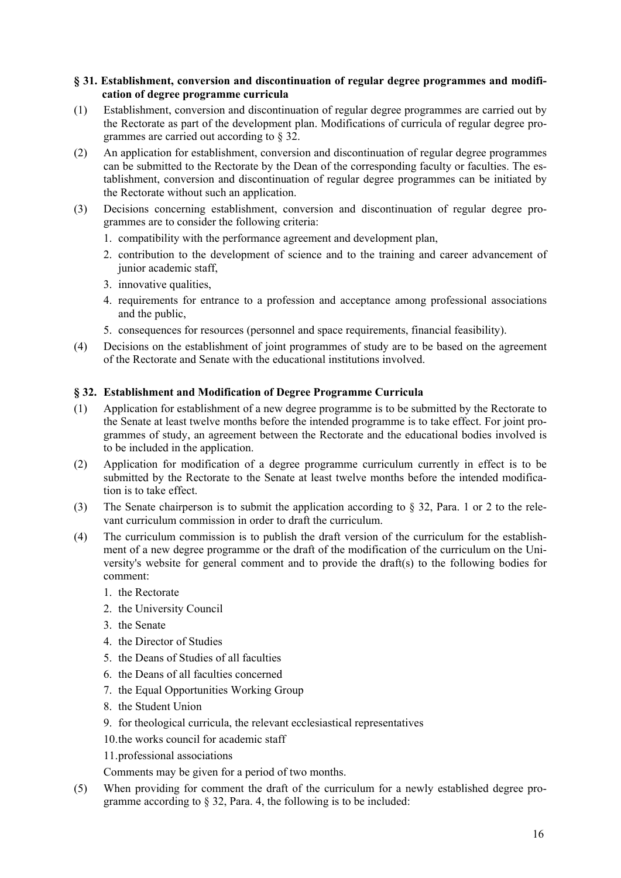## **§ 31. Establishment, conversion and discontinuation of regular degree programmes and modification of degree programme curricula**

- (1) Establishment, conversion and discontinuation of regular degree programmes are carried out by the Rectorate as part of the development plan. Modifications of curricula of regular degree programmes are carried out according to § 32.
- (2) An application for establishment, conversion and discontinuation of regular degree programmes can be submitted to the Rectorate by the Dean of the corresponding faculty or faculties. The establishment, conversion and discontinuation of regular degree programmes can be initiated by the Rectorate without such an application.
- (3) Decisions concerning establishment, conversion and discontinuation of regular degree programmes are to consider the following criteria:
	- 1. compatibility with the performance agreement and development plan,
	- 2. contribution to the development of science and to the training and career advancement of junior academic staff,
	- 3. innovative qualities,
	- 4. requirements for entrance to a profession and acceptance among professional associations and the public,
	- 5. consequences for resources (personnel and space requirements, financial feasibility).
- (4) Decisions on the establishment of joint programmes of study are to be based on the agreement of the Rectorate and Senate with the educational institutions involved.

# **§ 32. Establishment and Modification of Degree Programme Curricula**

- (1) Application for establishment of a new degree programme is to be submitted by the Rectorate to the Senate at least twelve months before the intended programme is to take effect. For joint programmes of study, an agreement between the Rectorate and the educational bodies involved is to be included in the application.
- (2) Application for modification of a degree programme curriculum currently in effect is to be submitted by the Rectorate to the Senate at least twelve months before the intended modification is to take effect.
- (3) The Senate chairperson is to submit the application according to § 32, Para. 1 or 2 to the relevant curriculum commission in order to draft the curriculum.
- (4) The curriculum commission is to publish the draft version of the curriculum for the establishment of a new degree programme or the draft of the modification of the curriculum on the University's website for general comment and to provide the draft(s) to the following bodies for comment:
	- 1. the Rectorate
	- 2. the University Council
	- 3. the Senate
	- 4. the Director of Studies
	- 5. the Deans of Studies of all faculties
	- 6. the Deans of all faculties concerned
	- 7. the Equal Opportunities Working Group
	- 8. the Student Union
	- 9. for theological curricula, the relevant ecclesiastical representatives
	- 10.the works council for academic staff
	- 11.professional associations

Comments may be given for a period of two months.

(5) When providing for comment the draft of the curriculum for a newly established degree programme according to § 32, Para. 4, the following is to be included: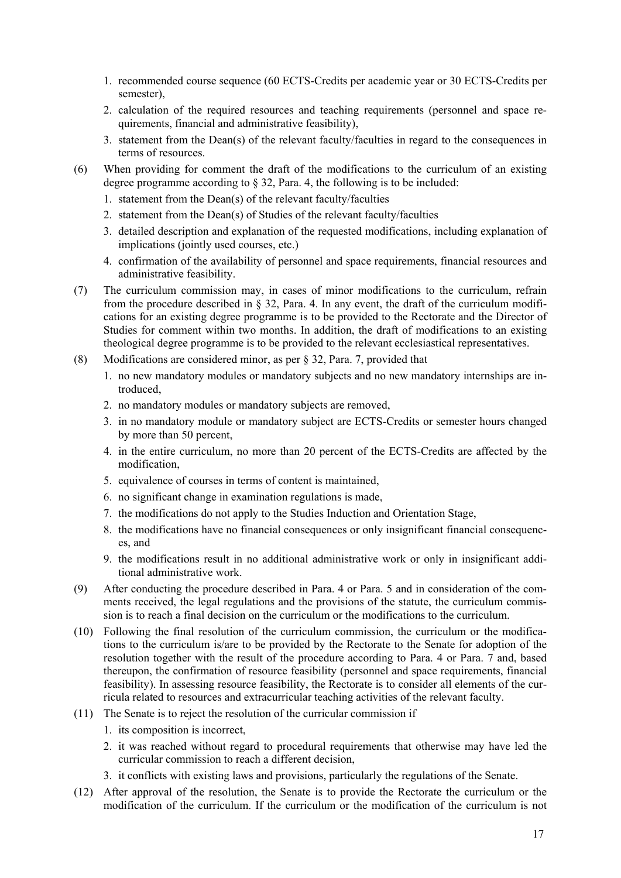- 1. recommended course sequence (60 ECTS-Credits per academic year or 30 ECTS-Credits per semester),
- 2. calculation of the required resources and teaching requirements (personnel and space requirements, financial and administrative feasibility),
- 3. statement from the Dean(s) of the relevant faculty/faculties in regard to the consequences in terms of resources.
- (6) When providing for comment the draft of the modifications to the curriculum of an existing degree programme according to § 32, Para. 4, the following is to be included:
	- 1. statement from the Dean(s) of the relevant faculty/faculties
	- 2. statement from the Dean(s) of Studies of the relevant faculty/faculties
	- 3. detailed description and explanation of the requested modifications, including explanation of implications (jointly used courses, etc.)
	- 4. confirmation of the availability of personnel and space requirements, financial resources and administrative feasibility.
- (7) The curriculum commission may, in cases of minor modifications to the curriculum, refrain from the procedure described in § 32, Para. 4. In any event, the draft of the curriculum modifications for an existing degree programme is to be provided to the Rectorate and the Director of Studies for comment within two months. In addition, the draft of modifications to an existing theological degree programme is to be provided to the relevant ecclesiastical representatives.
- (8) Modifications are considered minor, as per § 32, Para. 7, provided that
	- 1. no new mandatory modules or mandatory subjects and no new mandatory internships are introduced,
	- 2. no mandatory modules or mandatory subjects are removed,
	- 3. in no mandatory module or mandatory subject are ECTS-Credits or semester hours changed by more than 50 percent,
	- 4. in the entire curriculum, no more than 20 percent of the ECTS-Credits are affected by the modification,
	- 5. equivalence of courses in terms of content is maintained,
	- 6. no significant change in examination regulations is made,
	- 7. the modifications do not apply to the Studies Induction and Orientation Stage,
	- 8. the modifications have no financial consequences or only insignificant financial consequences, and
	- 9. the modifications result in no additional administrative work or only in insignificant additional administrative work.
- (9) After conducting the procedure described in Para. 4 or Para. 5 and in consideration of the comments received, the legal regulations and the provisions of the statute, the curriculum commission is to reach a final decision on the curriculum or the modifications to the curriculum.
- (10) Following the final resolution of the curriculum commission, the curriculum or the modifications to the curriculum is/are to be provided by the Rectorate to the Senate for adoption of the resolution together with the result of the procedure according to Para. 4 or Para. 7 and, based thereupon, the confirmation of resource feasibility (personnel and space requirements, financial feasibility). In assessing resource feasibility, the Rectorate is to consider all elements of the curricula related to resources and extracurricular teaching activities of the relevant faculty.
- (11) The Senate is to reject the resolution of the curricular commission if
	- 1. its composition is incorrect,
	- 2. it was reached without regard to procedural requirements that otherwise may have led the curricular commission to reach a different decision,
	- 3. it conflicts with existing laws and provisions, particularly the regulations of the Senate.
- (12) After approval of the resolution, the Senate is to provide the Rectorate the curriculum or the modification of the curriculum. If the curriculum or the modification of the curriculum is not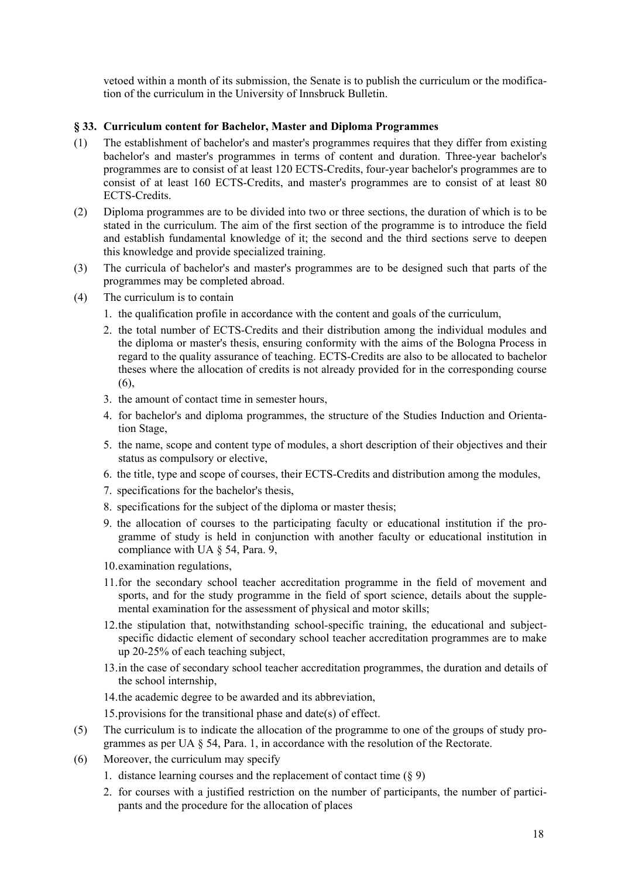vetoed within a month of its submission, the Senate is to publish the curriculum or the modification of the curriculum in the University of Innsbruck Bulletin.

# **§ 33. Curriculum content for Bachelor, Master and Diploma Programmes**

- (1) The establishment of bachelor's and master's programmes requires that they differ from existing bachelor's and master's programmes in terms of content and duration. Three-year bachelor's programmes are to consist of at least 120 ECTS-Credits, four-year bachelor's programmes are to consist of at least 160 ECTS-Credits, and master's programmes are to consist of at least 80 ECTS-Credits.
- (2) Diploma programmes are to be divided into two or three sections, the duration of which is to be stated in the curriculum. The aim of the first section of the programme is to introduce the field and establish fundamental knowledge of it; the second and the third sections serve to deepen this knowledge and provide specialized training.
- (3) The curricula of bachelor's and master's programmes are to be designed such that parts of the programmes may be completed abroad.
- (4) The curriculum is to contain
	- 1. the qualification profile in accordance with the content and goals of the curriculum,
	- 2. the total number of ECTS-Credits and their distribution among the individual modules and the diploma or master's thesis, ensuring conformity with the aims of the Bologna Process in regard to the quality assurance of teaching. ECTS-Credits are also to be allocated to bachelor theses where the allocation of credits is not already provided for in the corresponding course (6),
	- 3. the amount of contact time in semester hours,
	- 4. for bachelor's and diploma programmes, the structure of the Studies Induction and Orientation Stage,
	- 5. the name, scope and content type of modules, a short description of their objectives and their status as compulsory or elective,
	- 6. the title, type and scope of courses, their ECTS-Credits and distribution among the modules,
	- 7. specifications for the bachelor's thesis,
	- 8. specifications for the subject of the diploma or master thesis;
	- 9. the allocation of courses to the participating faculty or educational institution if the programme of study is held in conjunction with another faculty or educational institution in compliance with UA § 54, Para. 9,
	- 10.examination regulations,
	- 11.for the secondary school teacher accreditation programme in the field of movement and sports, and for the study programme in the field of sport science, details about the supplemental examination for the assessment of physical and motor skills;
	- 12.the stipulation that, notwithstanding school-specific training, the educational and subjectspecific didactic element of secondary school teacher accreditation programmes are to make up 20-25% of each teaching subject,
	- 13.in the case of secondary school teacher accreditation programmes, the duration and details of the school internship,
	- 14.the academic degree to be awarded and its abbreviation,
	- 15.provisions for the transitional phase and date(s) of effect.
- (5) The curriculum is to indicate the allocation of the programme to one of the groups of study programmes as per UA § 54, Para. 1, in accordance with the resolution of the Rectorate.
- (6) Moreover, the curriculum may specify
	- 1. distance learning courses and the replacement of contact time (§ 9)
	- 2. for courses with a justified restriction on the number of participants, the number of participants and the procedure for the allocation of places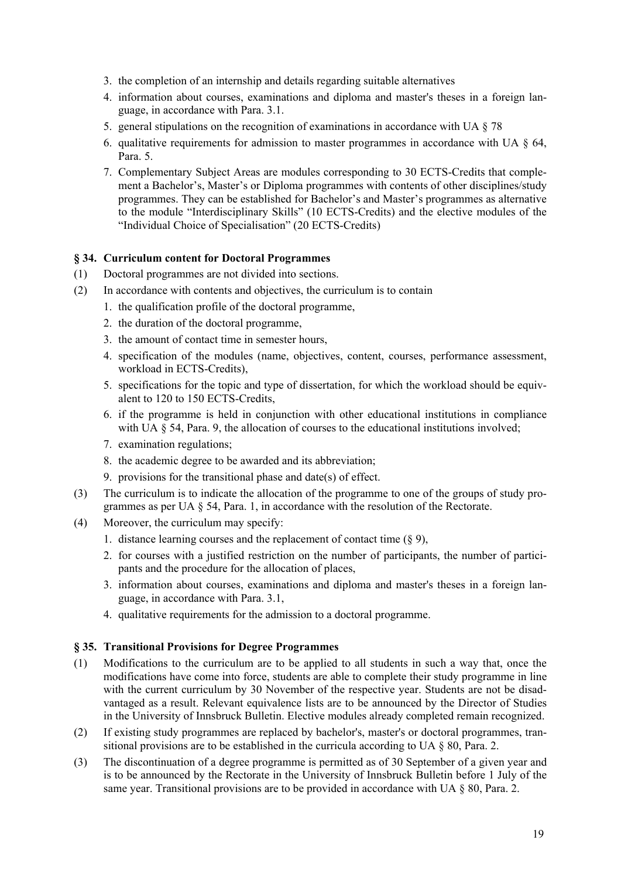- 3. the completion of an internship and details regarding suitable alternatives
- 4. information about courses, examinations and diploma and master's theses in a foreign language, in accordance with Para. 3.1.
- 5. general stipulations on the recognition of examinations in accordance with UA § 78
- 6. qualitative requirements for admission to master programmes in accordance with UA § 64, Para. 5.
- 7. Complementary Subject Areas are modules corresponding to 30 ECTS-Credits that complement a Bachelor's, Master's or Diploma programmes with contents of other disciplines/study programmes. They can be established for Bachelor's and Master's programmes as alternative to the module "Interdisciplinary Skills" (10 ECTS-Credits) and the elective modules of the "Individual Choice of Specialisation" (20 ECTS-Credits)

### **§ 34. Curriculum content for Doctoral Programmes**

- (1) Doctoral programmes are not divided into sections.
- (2) In accordance with contents and objectives, the curriculum is to contain
	- 1. the qualification profile of the doctoral programme,
		- 2. the duration of the doctoral programme,
		- 3. the amount of contact time in semester hours,
		- 4. specification of the modules (name, objectives, content, courses, performance assessment, workload in ECTS-Credits),
		- 5. specifications for the topic and type of dissertation, for which the workload should be equivalent to 120 to 150 ECTS-Credits,
		- 6. if the programme is held in conjunction with other educational institutions in compliance with UA § 54, Para. 9, the allocation of courses to the educational institutions involved;
		- 7. examination regulations;
		- 8. the academic degree to be awarded and its abbreviation;
		- 9. provisions for the transitional phase and date(s) of effect.
- (3) The curriculum is to indicate the allocation of the programme to one of the groups of study programmes as per UA § 54, Para. 1, in accordance with the resolution of the Rectorate.
- (4) Moreover, the curriculum may specify:
	- 1. distance learning courses and the replacement of contact time  $(\S 9)$ ,
	- 2. for courses with a justified restriction on the number of participants, the number of participants and the procedure for the allocation of places,
	- 3. information about courses, examinations and diploma and master's theses in a foreign language, in accordance with Para. 3.1,
	- 4. qualitative requirements for the admission to a doctoral programme.

### **§ 35. Transitional Provisions for Degree Programmes**

- (1) Modifications to the curriculum are to be applied to all students in such a way that, once the modifications have come into force, students are able to complete their study programme in line with the current curriculum by 30 November of the respective year. Students are not be disadvantaged as a result. Relevant equivalence lists are to be announced by the Director of Studies in the University of Innsbruck Bulletin. Elective modules already completed remain recognized.
- (2) If existing study programmes are replaced by bachelor's, master's or doctoral programmes, transitional provisions are to be established in the curricula according to UA § 80, Para. 2.
- (3) The discontinuation of a degree programme is permitted as of 30 September of a given year and is to be announced by the Rectorate in the University of Innsbruck Bulletin before 1 July of the same year. Transitional provisions are to be provided in accordance with UA § 80, Para. 2.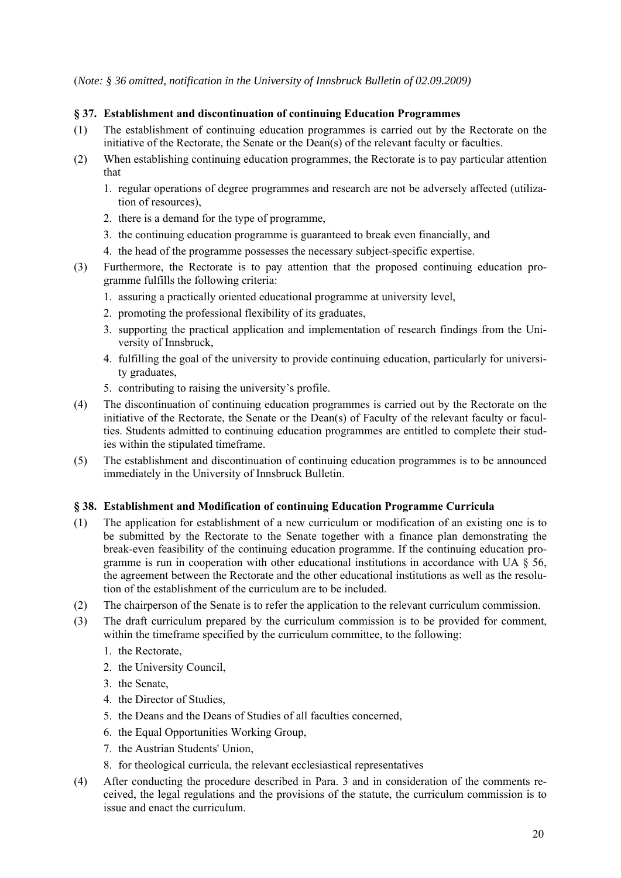(*Note: § 36 omitted, notification in the University of Innsbruck Bulletin of 02.09.2009)* 

### **§ 37. Establishment and discontinuation of continuing Education Programmes**

- (1) The establishment of continuing education programmes is carried out by the Rectorate on the initiative of the Rectorate, the Senate or the Dean(s) of the relevant faculty or faculties.
- (2) When establishing continuing education programmes, the Rectorate is to pay particular attention that
	- 1. regular operations of degree programmes and research are not be adversely affected (utilization of resources),
	- 2. there is a demand for the type of programme,
	- 3. the continuing education programme is guaranteed to break even financially, and
	- 4. the head of the programme possesses the necessary subject-specific expertise.
- (3) Furthermore, the Rectorate is to pay attention that the proposed continuing education programme fulfills the following criteria:
	- 1. assuring a practically oriented educational programme at university level,
	- 2. promoting the professional flexibility of its graduates,
	- 3. supporting the practical application and implementation of research findings from the University of Innsbruck,
	- 4. fulfilling the goal of the university to provide continuing education, particularly for university graduates,
	- 5. contributing to raising the university's profile.
- (4) The discontinuation of continuing education programmes is carried out by the Rectorate on the initiative of the Rectorate, the Senate or the Dean(s) of Faculty of the relevant faculty or faculties. Students admitted to continuing education programmes are entitled to complete their studies within the stipulated timeframe.
- (5) The establishment and discontinuation of continuing education programmes is to be announced immediately in the University of Innsbruck Bulletin.

### **§ 38. Establishment and Modification of continuing Education Programme Curricula**

- (1) The application for establishment of a new curriculum or modification of an existing one is to be submitted by the Rectorate to the Senate together with a finance plan demonstrating the break-even feasibility of the continuing education programme. If the continuing education programme is run in cooperation with other educational institutions in accordance with UA § 56, the agreement between the Rectorate and the other educational institutions as well as the resolution of the establishment of the curriculum are to be included.
- (2) The chairperson of the Senate is to refer the application to the relevant curriculum commission.
- (3) The draft curriculum prepared by the curriculum commission is to be provided for comment, within the timeframe specified by the curriculum committee, to the following:
	- 1. the Rectorate,
	- 2. the University Council,
	- 3. the Senate,
	- 4. the Director of Studies,
	- 5. the Deans and the Deans of Studies of all faculties concerned,
	- 6. the Equal Opportunities Working Group,
	- 7. the Austrian Students' Union,
	- 8. for theological curricula, the relevant ecclesiastical representatives
- (4) After conducting the procedure described in Para. 3 and in consideration of the comments received, the legal regulations and the provisions of the statute, the curriculum commission is to issue and enact the curriculum.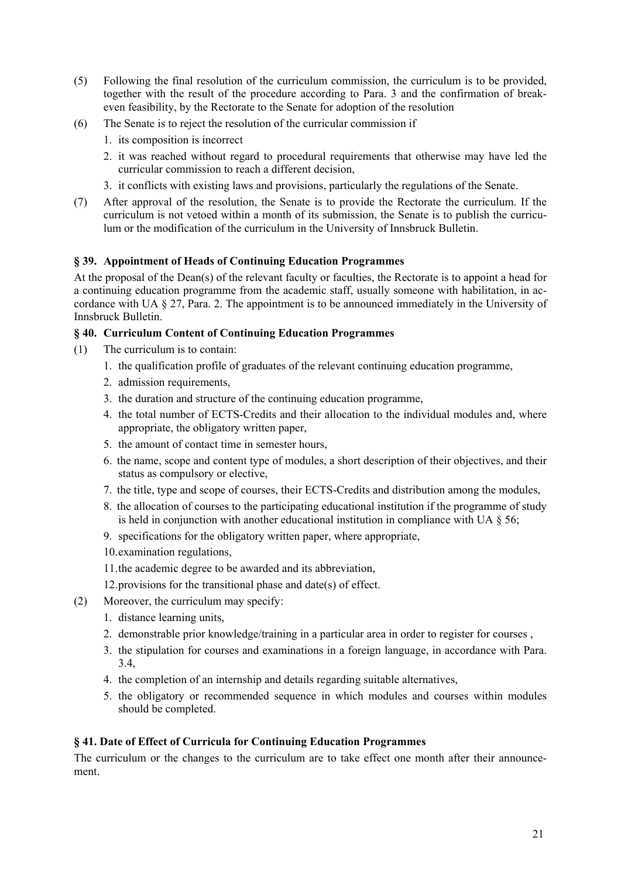- (5) Following the final resolution of the curriculum commission, the curriculum is to be provided, together with the result of the procedure according to Para. 3 and the confirmation of breakeven feasibility, by the Rectorate to the Senate for adoption of the resolution
- (6) The Senate is to reject the resolution of the curricular commission if
	- 1. its composition is incorrect
	- 2. it was reached without regard to procedural requirements that otherwise may have led the curricular commission to reach a different decision,
	- 3. it conflicts with existing laws and provisions, particularly the regulations of the Senate.
- (7) After approval of the resolution, the Senate is to provide the Rectorate the curriculum. If the curriculum is not vetoed within a month of its submission, the Senate is to publish the curriculum or the modification of the curriculum in the University of Innsbruck Bulletin.

# **§ 39. Appointment of Heads of Continuing Education Programmes**

At the proposal of the Dean(s) of the relevant faculty or faculties, the Rectorate is to appoint a head for a continuing education programme from the academic staff, usually someone with habilitation, in accordance with UA § 27, Para. 2. The appointment is to be announced immediately in the University of Innsbruck Bulletin.

### **§ 40. Curriculum Content of Continuing Education Programmes**

- (1) The curriculum is to contain:
	- 1. the qualification profile of graduates of the relevant continuing education programme,
	- 2. admission requirements,
	- 3. the duration and structure of the continuing education programme,
	- 4. the total number of ECTS-Credits and their allocation to the individual modules and, where appropriate, the obligatory written paper,
	- 5. the amount of contact time in semester hours,
	- 6. the name, scope and content type of modules, a short description of their objectives, and their status as compulsory or elective,
	- 7. the title, type and scope of courses, their ECTS-Credits and distribution among the modules,
	- 8. the allocation of courses to the participating educational institution if the programme of study is held in conjunction with another educational institution in compliance with UA  $\delta$  56;
	- 9. specifications for the obligatory written paper, where appropriate,
	- 10.examination regulations,
	- 11.the academic degree to be awarded and its abbreviation,
	- 12.provisions for the transitional phase and date(s) of effect.
- (2) Moreover, the curriculum may specify:
	- 1. distance learning units,
	- 2. demonstrable prior knowledge/training in a particular area in order to register for courses ,
	- 3. the stipulation for courses and examinations in a foreign language, in accordance with Para. 3.4,
	- 4. the completion of an internship and details regarding suitable alternatives,
	- 5. the obligatory or recommended sequence in which modules and courses within modules should be completed.

### **§ 41. Date of Effect of Curricula for Continuing Education Programmes**

The curriculum or the changes to the curriculum are to take effect one month after their announcement.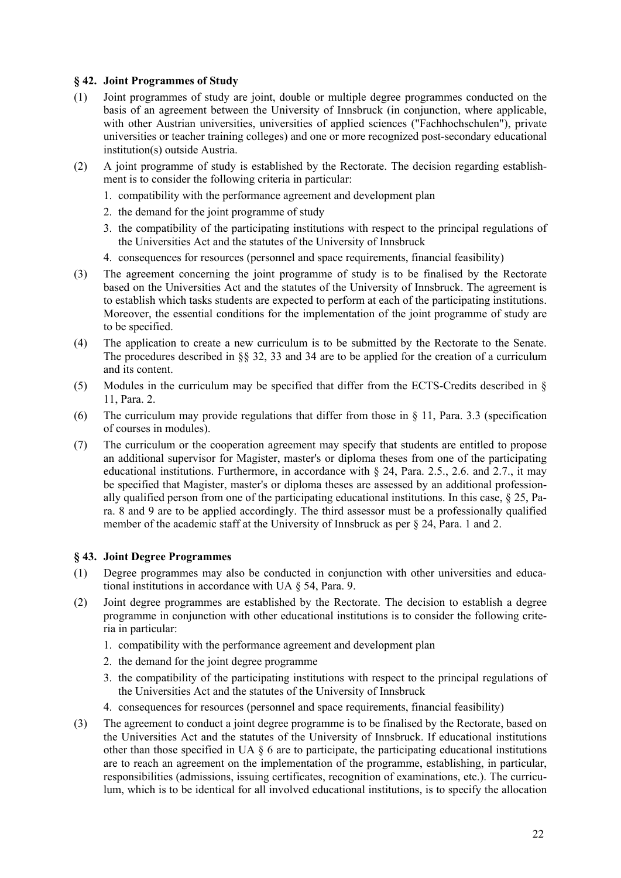### **§ 42. Joint Programmes of Study**

- (1) Joint programmes of study are joint, double or multiple degree programmes conducted on the basis of an agreement between the University of Innsbruck (in conjunction, where applicable, with other Austrian universities, universities of applied sciences ("Fachhochschulen"), private universities or teacher training colleges) and one or more recognized post-secondary educational institution(s) outside Austria.
- (2) A joint programme of study is established by the Rectorate. The decision regarding establishment is to consider the following criteria in particular:
	- 1. compatibility with the performance agreement and development plan
	- 2. the demand for the joint programme of study
	- 3. the compatibility of the participating institutions with respect to the principal regulations of the Universities Act and the statutes of the University of Innsbruck
	- 4. consequences for resources (personnel and space requirements, financial feasibility)
- (3) The agreement concerning the joint programme of study is to be finalised by the Rectorate based on the Universities Act and the statutes of the University of Innsbruck. The agreement is to establish which tasks students are expected to perform at each of the participating institutions. Moreover, the essential conditions for the implementation of the joint programme of study are to be specified.
- (4) The application to create a new curriculum is to be submitted by the Rectorate to the Senate. The procedures described in  $\S$  32, 33 and 34 are to be applied for the creation of a curriculum and its content.
- (5) Modules in the curriculum may be specified that differ from the ECTS-Credits described in § 11, Para. 2.
- (6) The curriculum may provide regulations that differ from those in  $\S$  11, Para. 3.3 (specification of courses in modules).
- (7) The curriculum or the cooperation agreement may specify that students are entitled to propose an additional supervisor for Magister, master's or diploma theses from one of the participating educational institutions. Furthermore, in accordance with  $\S$  24, Para. 2.5., 2.6. and 2.7., it may be specified that Magister, master's or diploma theses are assessed by an additional professionally qualified person from one of the participating educational institutions. In this case, § 25, Para. 8 and 9 are to be applied accordingly. The third assessor must be a professionally qualified member of the academic staff at the University of Innsbruck as per § 24, Para. 1 and 2.

### **§ 43. Joint Degree Programmes**

- (1) Degree programmes may also be conducted in conjunction with other universities and educational institutions in accordance with UA § 54, Para. 9.
- (2) Joint degree programmes are established by the Rectorate. The decision to establish a degree programme in conjunction with other educational institutions is to consider the following criteria in particular:
	- 1. compatibility with the performance agreement and development plan
	- 2. the demand for the joint degree programme
	- 3. the compatibility of the participating institutions with respect to the principal regulations of the Universities Act and the statutes of the University of Innsbruck
	- 4. consequences for resources (personnel and space requirements, financial feasibility)
- (3) The agreement to conduct a joint degree programme is to be finalised by the Rectorate, based on the Universities Act and the statutes of the University of Innsbruck. If educational institutions other than those specified in UA  $\delta$  6 are to participate, the participating educational institutions are to reach an agreement on the implementation of the programme, establishing, in particular, responsibilities (admissions, issuing certificates, recognition of examinations, etc.). The curriculum, which is to be identical for all involved educational institutions, is to specify the allocation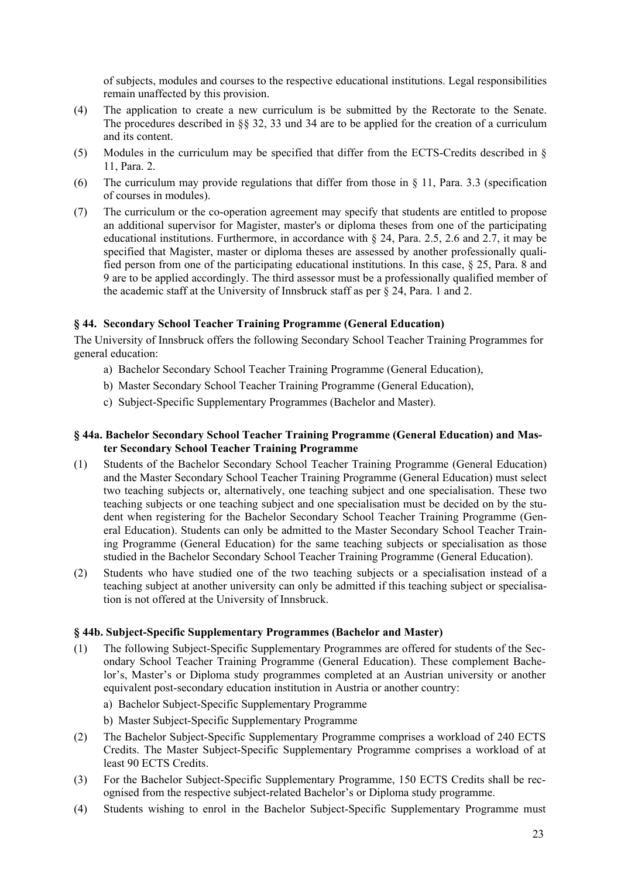of subjects, modules and courses to the respective educational institutions. Legal responsibilities remain unaffected by this provision.

- (4) The application to create a new curriculum is be submitted by the Rectorate to the Senate. The procedures described in §§ 32, 33 und 34 are to be applied for the creation of a curriculum and its content.
- (5) Modules in the curriculum may be specified that differ from the ECTS-Credits described in § 11, Para. 2.
- (6) The curriculum may provide regulations that differ from those in  $\S$  11, Para. 3.3 (specification of courses in modules).
- (7) The curriculum or the co-operation agreement may specify that students are entitled to propose an additional supervisor for Magister, master's or diploma theses from one of the participating educational institutions. Furthermore, in accordance with § 24, Para. 2.5, 2.6 and 2.7, it may be specified that Magister, master or diploma theses are assessed by another professionally qualified person from one of the participating educational institutions. In this case, § 25, Para. 8 and 9 are to be applied accordingly. The third assessor must be a professionally qualified member of the academic staff at the University of Innsbruck staff as per  $\S$  24, Para. 1 and 2.

### **§ 44. Secondary School Teacher Training Programme (General Education)**

The University of Innsbruck offers the following Secondary School Teacher Training Programmes for general education:

- a) Bachelor Secondary School Teacher Training Programme (General Education),
- b) Master Secondary School Teacher Training Programme (General Education),
- c) Subject-Specific Supplementary Programmes (Bachelor and Master).

### **§ 44a. Bachelor Secondary School Teacher Training Programme (General Education) and Master Secondary School Teacher Training Programme**

- (1) Students of the Bachelor Secondary School Teacher Training Programme (General Education) and the Master Secondary School Teacher Training Programme (General Education) must select two teaching subjects or, alternatively, one teaching subject and one specialisation. These two teaching subjects or one teaching subject and one specialisation must be decided on by the student when registering for the Bachelor Secondary School Teacher Training Programme (General Education). Students can only be admitted to the Master Secondary School Teacher Training Programme (General Education) for the same teaching subjects or specialisation as those studied in the Bachelor Secondary School Teacher Training Programme (General Education).
- (2) Students who have studied one of the two teaching subjects or a specialisation instead of a teaching subject at another university can only be admitted if this teaching subject or specialisation is not offered at the University of Innsbruck.

### **§ 44b. Subject-Specific Supplementary Programmes (Bachelor and Master)**

- (1) The following Subject-Specific Supplementary Programmes are offered for students of the Secondary School Teacher Training Programme (General Education). These complement Bachelor's, Master's or Diploma study programmes completed at an Austrian university or another equivalent post-secondary education institution in Austria or another country:
	- a) Bachelor Subject-Specific Supplementary Programme
	- b) Master Subject-Specific Supplementary Programme
- (2) The Bachelor Subject-Specific Supplementary Programme comprises a workload of 240 ECTS Credits. The Master Subject-Specific Supplementary Programme comprises a workload of at least 90 ECTS Credits.
- (3) For the Bachelor Subject-Specific Supplementary Programme, 150 ECTS Credits shall be recognised from the respective subject-related Bachelor's or Diploma study programme.
- (4) Students wishing to enrol in the Bachelor Subject-Specific Supplementary Programme must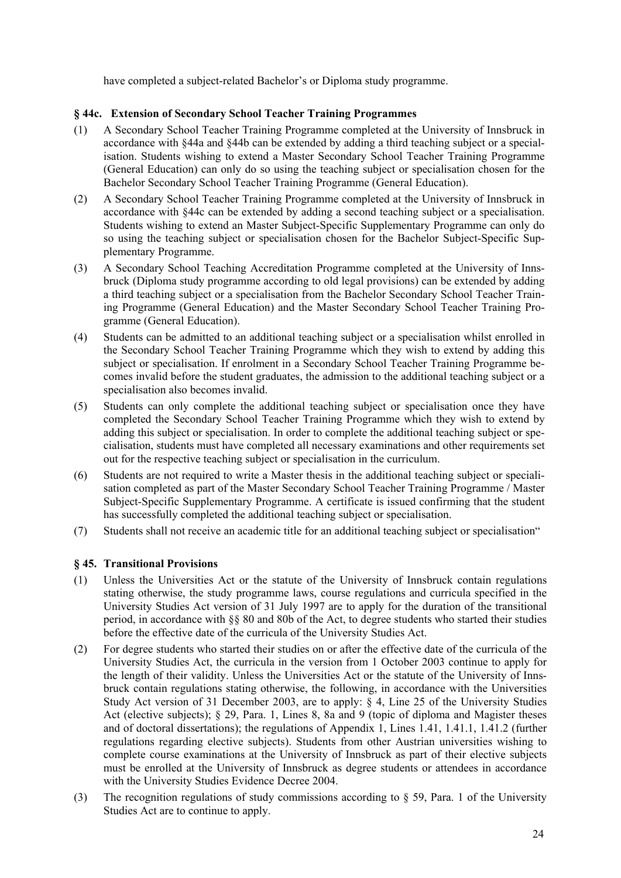have completed a subject-related Bachelor's or Diploma study programme.

## **§ 44c. Extension of Secondary School Teacher Training Programmes**

- (1) A Secondary School Teacher Training Programme completed at the University of Innsbruck in accordance with §44a and §44b can be extended by adding a third teaching subject or a specialisation. Students wishing to extend a Master Secondary School Teacher Training Programme (General Education) can only do so using the teaching subject or specialisation chosen for the Bachelor Secondary School Teacher Training Programme (General Education).
- (2) A Secondary School Teacher Training Programme completed at the University of Innsbruck in accordance with §44c can be extended by adding a second teaching subject or a specialisation. Students wishing to extend an Master Subject-Specific Supplementary Programme can only do so using the teaching subject or specialisation chosen for the Bachelor Subject-Specific Supplementary Programme.
- (3) A Secondary School Teaching Accreditation Programme completed at the University of Innsbruck (Diploma study programme according to old legal provisions) can be extended by adding a third teaching subject or a specialisation from the Bachelor Secondary School Teacher Training Programme (General Education) and the Master Secondary School Teacher Training Programme (General Education).
- (4) Students can be admitted to an additional teaching subject or a specialisation whilst enrolled in the Secondary School Teacher Training Programme which they wish to extend by adding this subject or specialisation. If enrolment in a Secondary School Teacher Training Programme becomes invalid before the student graduates, the admission to the additional teaching subject or a specialisation also becomes invalid.
- (5) Students can only complete the additional teaching subject or specialisation once they have completed the Secondary School Teacher Training Programme which they wish to extend by adding this subject or specialisation. In order to complete the additional teaching subject or specialisation, students must have completed all necessary examinations and other requirements set out for the respective teaching subject or specialisation in the curriculum.
- (6) Students are not required to write a Master thesis in the additional teaching subject or specialisation completed as part of the Master Secondary School Teacher Training Programme / Master Subject-Specific Supplementary Programme. A certificate is issued confirming that the student has successfully completed the additional teaching subject or specialisation.
- (7) Students shall not receive an academic title for an additional teaching subject or specialisation"

# **§ 45. Transitional Provisions**

- (1) Unless the Universities Act or the statute of the University of Innsbruck contain regulations stating otherwise, the study programme laws, course regulations and curricula specified in the University Studies Act version of 31 July 1997 are to apply for the duration of the transitional period, in accordance with §§ 80 and 80b of the Act, to degree students who started their studies before the effective date of the curricula of the University Studies Act.
- (2) For degree students who started their studies on or after the effective date of the curricula of the University Studies Act, the curricula in the version from 1 October 2003 continue to apply for the length of their validity. Unless the Universities Act or the statute of the University of Innsbruck contain regulations stating otherwise, the following, in accordance with the Universities Study Act version of 31 December 2003, are to apply: § 4, Line 25 of the University Studies Act (elective subjects); § 29, Para. 1, Lines 8, 8a and 9 (topic of diploma and Magister theses and of doctoral dissertations); the regulations of Appendix 1, Lines 1.41, 1.41.1, 1.41.2 (further regulations regarding elective subjects). Students from other Austrian universities wishing to complete course examinations at the University of Innsbruck as part of their elective subjects must be enrolled at the University of Innsbruck as degree students or attendees in accordance with the University Studies Evidence Decree 2004.
- (3) The recognition regulations of study commissions according to § 59, Para. 1 of the University Studies Act are to continue to apply.